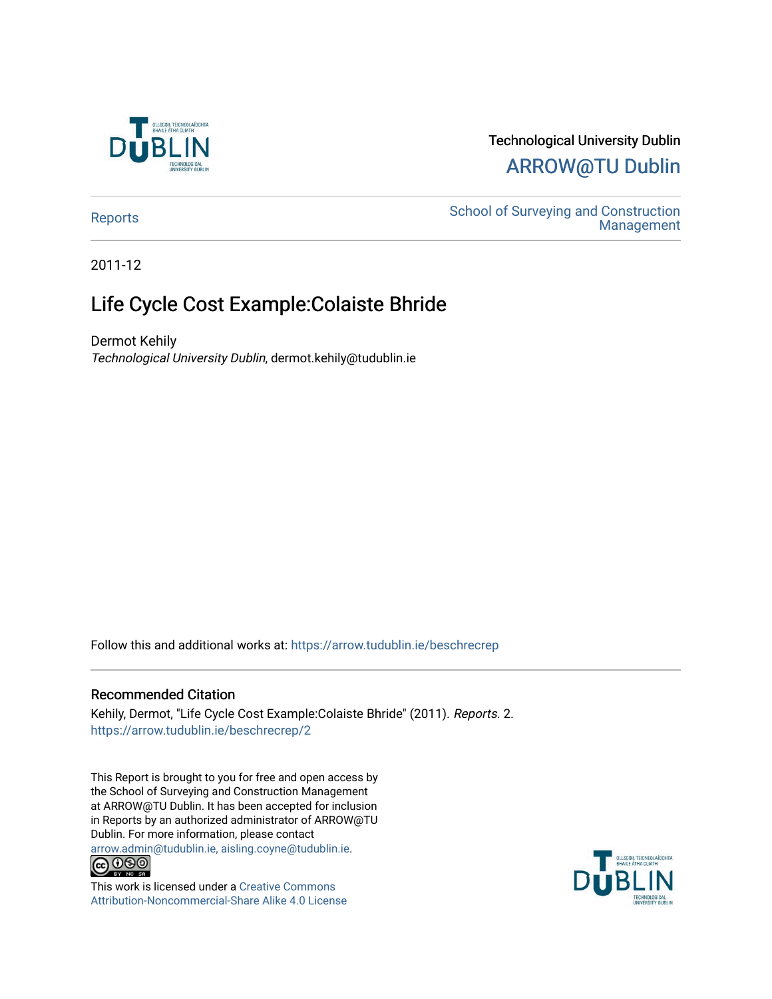

# Technological University Dublin [ARROW@TU Dublin](https://arrow.tudublin.ie/)

[Reports](https://arrow.tudublin.ie/beschrecrep) Reports Accounts School of Surveying and Construction<br>Management [Management](https://arrow.tudublin.ie/beschrec) 

2011-12

# Life Cycle Cost Example:Colaiste Bhride

Dermot Kehily Technological University Dublin, dermot.kehily@tudublin.ie

Follow this and additional works at: [https://arrow.tudublin.ie/beschrecrep](https://arrow.tudublin.ie/beschrecrep?utm_source=arrow.tudublin.ie%2Fbeschrecrep%2F2&utm_medium=PDF&utm_campaign=PDFCoverPages) 

#### Recommended Citation

Kehily, Dermot, "Life Cycle Cost Example:Colaiste Bhride" (2011). Reports. 2. [https://arrow.tudublin.ie/beschrecrep/2](https://arrow.tudublin.ie/beschrecrep/2?utm_source=arrow.tudublin.ie%2Fbeschrecrep%2F2&utm_medium=PDF&utm_campaign=PDFCoverPages) 

This Report is brought to you for free and open access by the School of Surveying and Construction Management at ARROW@TU Dublin. It has been accepted for inclusion in Reports by an authorized administrator of ARROW@TU Dublin. For more information, please contact [arrow.admin@tudublin.ie, aisling.coyne@tudublin.ie](mailto:arrow.admin@tudublin.ie,%20aisling.coyne@tudublin.ie).<br>COOO



This work is licensed under a [Creative Commons](http://creativecommons.org/licenses/by-nc-sa/4.0/) [Attribution-Noncommercial-Share Alike 4.0 License](http://creativecommons.org/licenses/by-nc-sa/4.0/)

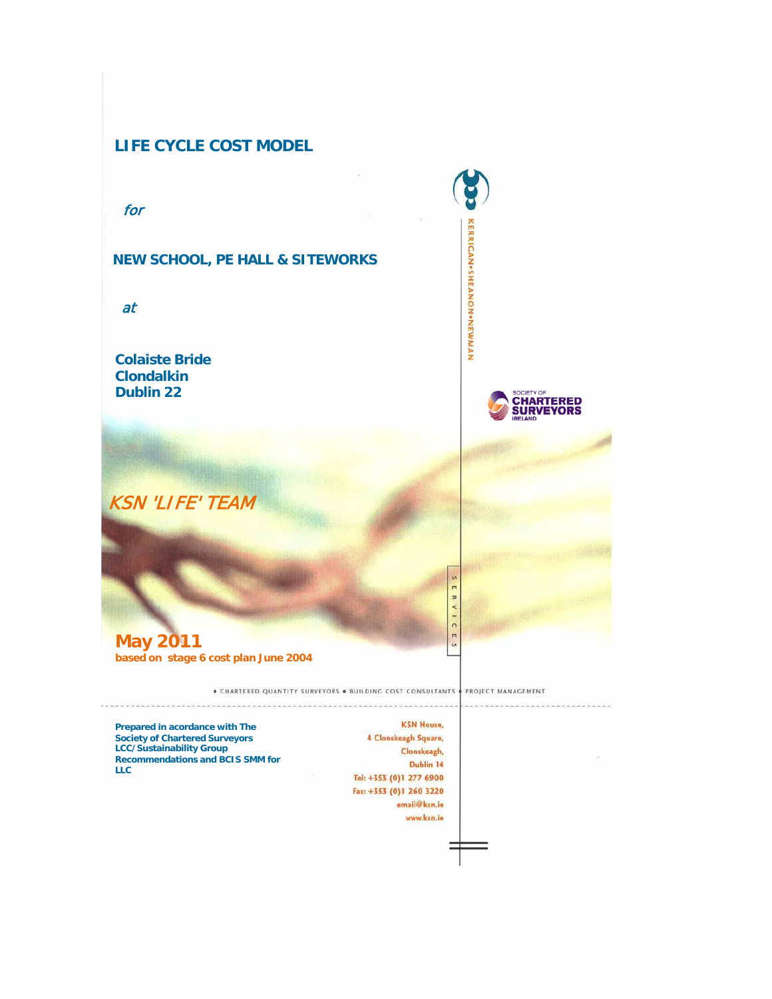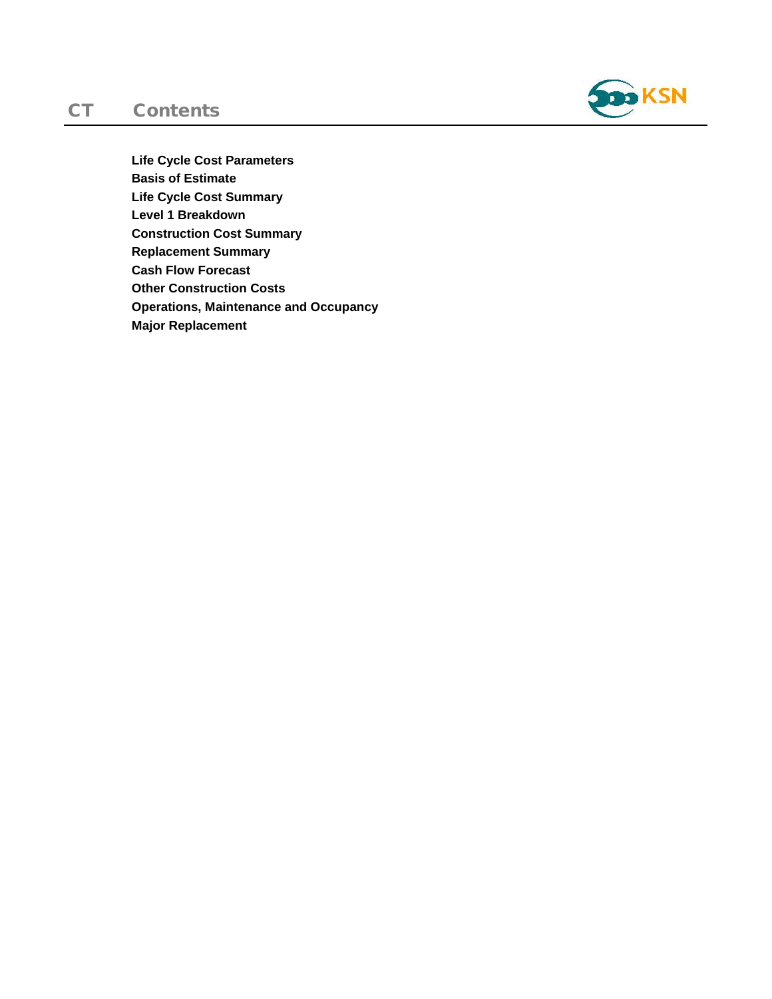## CT Contents



**Life Cycle Cost Parameters Basis of Estimate Life Cycle Cost Summary Level 1 Breakdown Construction Cost Summary Replacement Summary Cash Flow Forecast Other Construction Costs Operations, Maintenance and Occupancy Major Replacement**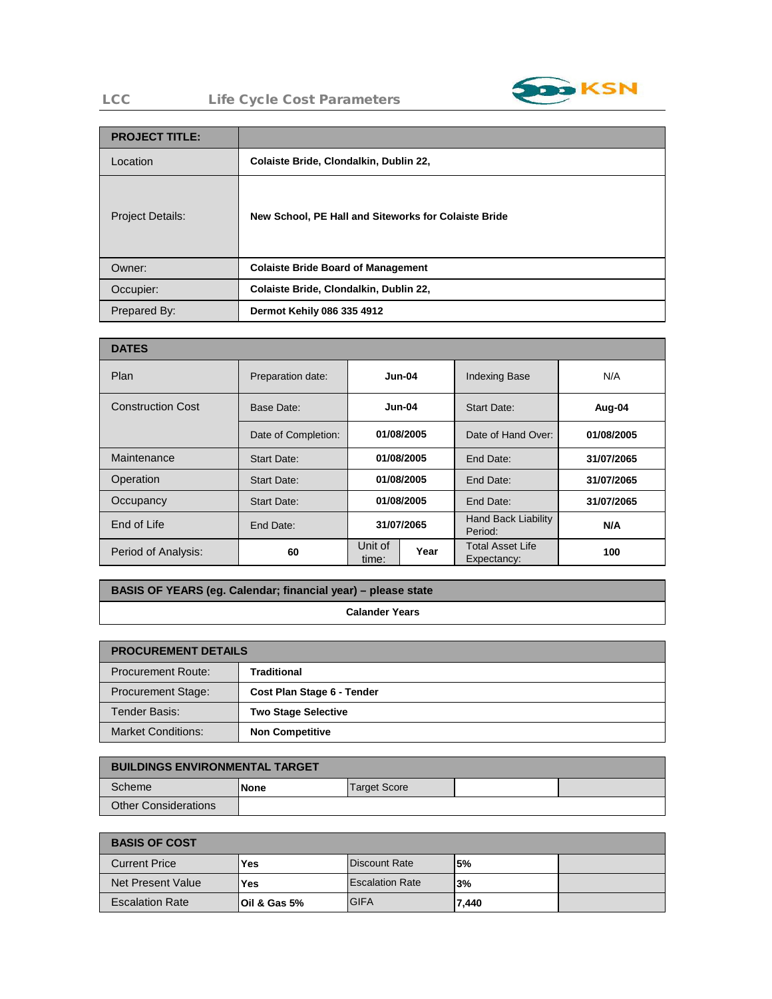

### LCC Life Cycle Cost Parameters

| <b>PROJECT TITLE:</b>   |                                                      |
|-------------------------|------------------------------------------------------|
| Location                | Colaiste Bride, Clondalkin, Dublin 22,               |
| <b>Project Details:</b> | New School, PE Hall and Siteworks for Colaiste Bride |
| Owner:                  | <b>Colaiste Bride Board of Management</b>            |
| Occupier:               | Colaiste Bride, Clondalkin, Dublin 22,               |
| Prepared By:            | Dermot Kehily 086 335 4912                           |

| <b>DATES</b>             |                     |                          |            |                                        |            |             |        |
|--------------------------|---------------------|--------------------------|------------|----------------------------------------|------------|-------------|--------|
| Plan                     | Preparation date:   |                          | $Jun-04$   | <b>Indexing Base</b>                   | N/A        |             |        |
| <b>Construction Cost</b> | Base Date:          | $Jun-04$                 |            |                                        |            | Start Date: | Aug-04 |
|                          | Date of Completion: |                          | 01/08/2005 | Date of Hand Over:                     | 01/08/2005 |             |        |
| Maintenance              | Start Date:         | 01/08/2005               |            | End Date:                              | 31/07/2065 |             |        |
| Operation                | Start Date:         | 01/08/2005               |            | End Date:                              | 31/07/2065 |             |        |
| Occupancy                | Start Date:         | 01/08/2005               |            | End Date:                              | 31/07/2065 |             |        |
| End of Life              | End Date:           | 31/07/2065               |            | <b>Hand Back Liability</b><br>Period:  | N/A        |             |        |
| Period of Analysis:      | 60                  | Unit of<br>Year<br>time: |            | <b>Total Asset Life</b><br>Expectancy: | 100        |             |        |

## **BASIS OF YEARS (eg. Calendar; financial year) – please state**

**Calander Years**

| <b>PROCUREMENT DETAILS</b> |                            |  |  |  |
|----------------------------|----------------------------|--|--|--|
| <b>Procurement Route:</b>  | <b>Traditional</b>         |  |  |  |
| <b>Procurement Stage:</b>  | Cost Plan Stage 6 - Tender |  |  |  |
| Tender Basis:              | <b>Two Stage Selective</b> |  |  |  |
| <b>Market Conditions:</b>  | <b>Non Competitive</b>     |  |  |  |

| <b>BUILDINGS ENVIRONMENTAL TARGET</b> |      |              |  |  |  |
|---------------------------------------|------|--------------|--|--|--|
| Scheme                                | None | Target Score |  |  |  |
| <b>Other Considerations</b>           |      |              |  |  |  |

| <b>BASIS OF COST</b>   |                         |                        |           |  |  |
|------------------------|-------------------------|------------------------|-----------|--|--|
| <b>Current Price</b>   | Yes                     | <b>Discount Rate</b>   | <b>5%</b> |  |  |
| Net Present Value      | Yes                     | <b>Escalation Rate</b> | 3%        |  |  |
| <b>Escalation Rate</b> | <b>Oil &amp; Gas 5%</b> | <b>GIFA</b>            | 7.440     |  |  |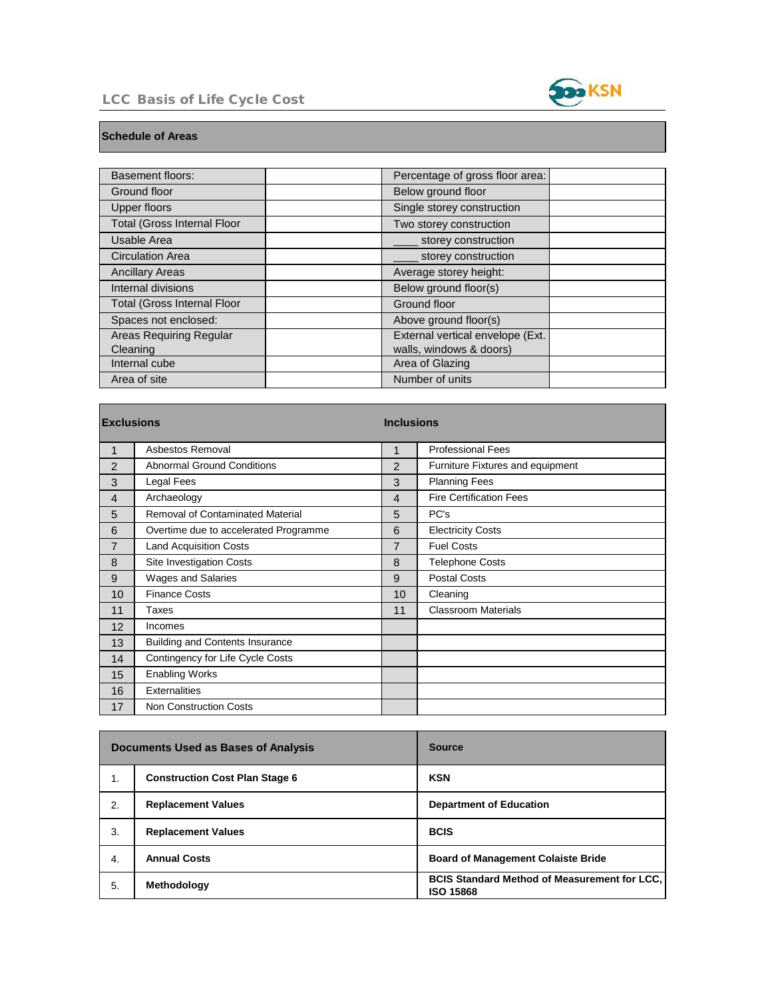### LCC Basis of Life Cycle Cost



and the control of the control of the control of the control of

#### **Schedule of Areas**

П

| <b>Basement floors:</b>            | Percentage of gross floor area:  |  |
|------------------------------------|----------------------------------|--|
| Ground floor                       | Below ground floor               |  |
| <b>Upper floors</b>                | Single storey construction       |  |
| <b>Total (Gross Internal Floor</b> | Two storey construction          |  |
| Usable Area                        | storey construction              |  |
| <b>Circulation Area</b>            | storey construction              |  |
| <b>Ancillary Areas</b>             | Average storey height:           |  |
| Internal divisions                 | Below ground floor(s)            |  |
| <b>Total (Gross Internal Floor</b> | Ground floor                     |  |
| Spaces not enclosed:               | Above ground floor(s)            |  |
| Areas Requiring Regular            | External vertical envelope (Ext. |  |
| Cleaning                           | walls, windows & doors)          |  |
| Internal cube                      | Area of Glazing                  |  |
| Area of site                       | Number of units                  |  |

| <b>Exclusions</b> |                                        | <b>Inclusions</b> |                                  |  |
|-------------------|----------------------------------------|-------------------|----------------------------------|--|
| 1                 | Asbestos Removal                       |                   | <b>Professional Fees</b>         |  |
| 2                 | <b>Abnormal Ground Conditions</b>      | 2                 | Furniture Fixtures and equipment |  |
| 3                 | Legal Fees                             | 3                 | <b>Planning Fees</b>             |  |
| 4                 | Archaeology                            | 4                 | <b>Fire Certification Fees</b>   |  |
| 5                 | Removal of Contaminated Material       | 5                 | PC's                             |  |
| 6                 | Overtime due to accelerated Programme  | 6                 | <b>Electricity Costs</b>         |  |
| 7                 | <b>Land Acquisition Costs</b>          | 7                 | <b>Fuel Costs</b>                |  |
| 8                 | <b>Site Investigation Costs</b>        | 8                 | <b>Telephone Costs</b>           |  |
| 9                 | <b>Wages and Salaries</b>              | 9                 | <b>Postal Costs</b>              |  |
| 10                | <b>Finance Costs</b>                   | 10                | Cleaning                         |  |
| 11                | Taxes                                  | 11                | <b>Classroom Materials</b>       |  |
| 12                | Incomes                                |                   |                                  |  |
| 13                | <b>Building and Contents Insurance</b> |                   |                                  |  |
| 14                | Contingency for Life Cycle Costs       |                   |                                  |  |
| 15                | <b>Enabling Works</b>                  |                   |                                  |  |
| 16                | <b>Externalities</b>                   |                   |                                  |  |
| 17                | <b>Non Construction Costs</b>          |                   |                                  |  |

|    | <b>Documents Used as Bases of Analysis</b> | <b>Source</b>                                                             |
|----|--------------------------------------------|---------------------------------------------------------------------------|
| 1. | <b>Construction Cost Plan Stage 6</b>      | <b>KSN</b>                                                                |
| 2. | <b>Replacement Values</b>                  | <b>Department of Education</b>                                            |
| 3. | <b>Replacement Values</b>                  | <b>BCIS</b>                                                               |
| 4. | <b>Annual Costs</b>                        | <b>Board of Management Colaiste Bride</b>                                 |
| 5. | Methodology                                | <b>BCIS Standard Method of Measurement for LCC,  </b><br><b>ISO 15868</b> |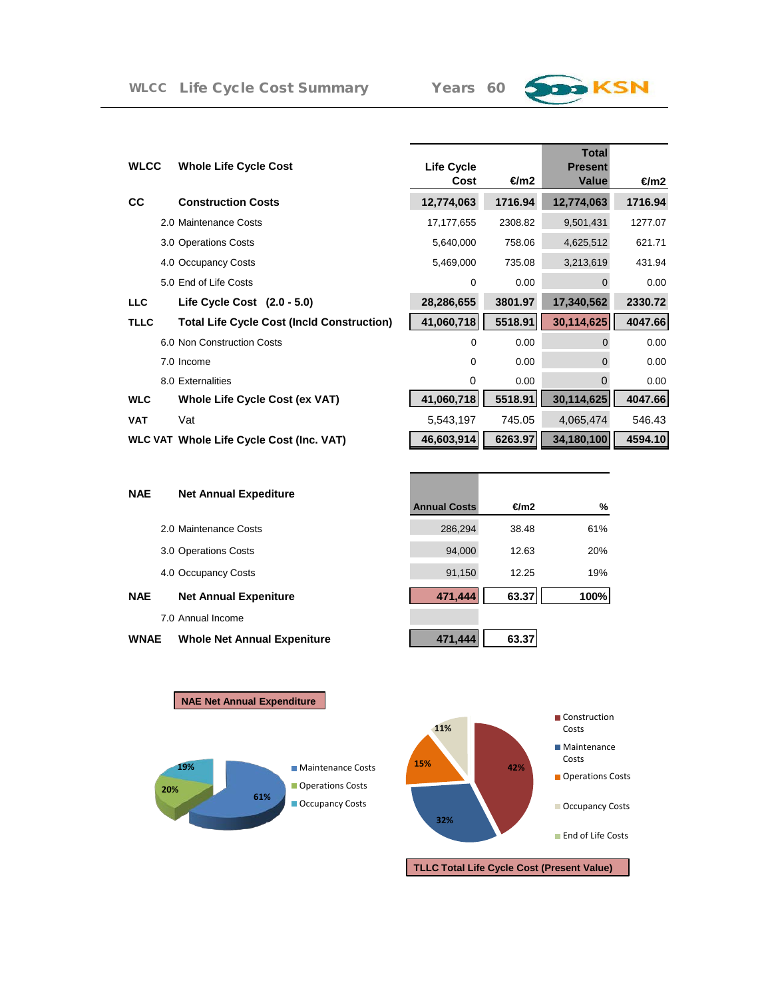# **B** KSN

| WLCC        | <b>Whole Life Cycle Cost</b>                      | <b>Life Cycle</b><br>Cost | €m2     | <b>Total</b><br><b>Present</b><br>Value | $\epsilon$ m2 |
|-------------|---------------------------------------------------|---------------------------|---------|-----------------------------------------|---------------|
| <b>CC</b>   | <b>Construction Costs</b>                         | 12,774,063                | 1716.94 | 12,774,063                              | 1716.94       |
|             | 2.0 Maintenance Costs                             | 17, 177, 655              | 2308.82 | 9,501,431                               | 1277.07       |
|             | 3.0 Operations Costs                              | 5,640,000                 | 758.06  | 4,625,512                               | 621.71        |
|             | 4.0 Occupancy Costs                               | 5,469,000                 | 735.08  | 3,213,619                               | 431.94        |
|             | 5.0 End of Life Costs                             | $\Omega$                  | 0.00    | $\Omega$                                | 0.00          |
| LLC         | Life Cycle Cost $(2.0 - 5.0)$                     | 28,286,655                | 3801.97 | 17,340,562                              | 2330.72       |
| <b>TLLC</b> | <b>Total Life Cycle Cost (Incld Construction)</b> | 41,060,718                | 5518.91 | 30,114,625                              | 4047.66       |
|             | 6.0 Non Construction Costs                        | 0                         | 0.00    | $\Omega$                                | 0.00          |
|             | 7.0 Income                                        | $\Omega$                  | 0.00    | $\Omega$                                | 0.00          |
|             | 8.0 Externalities                                 | 0                         | 0.00    | $\Omega$                                | 0.00          |
| WLC         | Whole Life Cycle Cost (ex VAT)                    | 41,060,718                | 5518.91 | 30,114,625                              | 4047.66       |
| VAT         | Vat                                               | 5,543,197                 | 745.05  | 4,065,474                               | 546.43        |
|             | <b>WLC VAT Whole Life Cycle Cost (Inc. VAT)</b>   | 46,603,914                | 6263.97 | 34,180,100                              | 4594.10       |
|             |                                                   |                           |         |                                         |               |

| <b>NAE</b> | <b>Net Annual Expediture</b> |                     |       |               |
|------------|------------------------------|---------------------|-------|---------------|
|            |                              | <b>Annual Costs</b> | €m2   | $\frac{9}{6}$ |
|            | 2.0 Maintenance Costs        | 286,294             | 38.48 | 61%           |
|            | 3.0 Operations Costs         | 94,000              | 12.63 | 20%           |
|            | 4.0 Occupancy Costs          | 91,150              | 12.25 | 19%           |
| <b>NAE</b> | <b>Net Annual Expeniture</b> | 471,444             | 63.37 | 100%          |
|            | 7.0 Annual Income            |                     |       |               |
|            |                              |                     |       |               |

#### **WNAE** Whole Net Annual Expeniture **19 a** 471,444 **63.37**



**NAE Net Annual Expenditure**

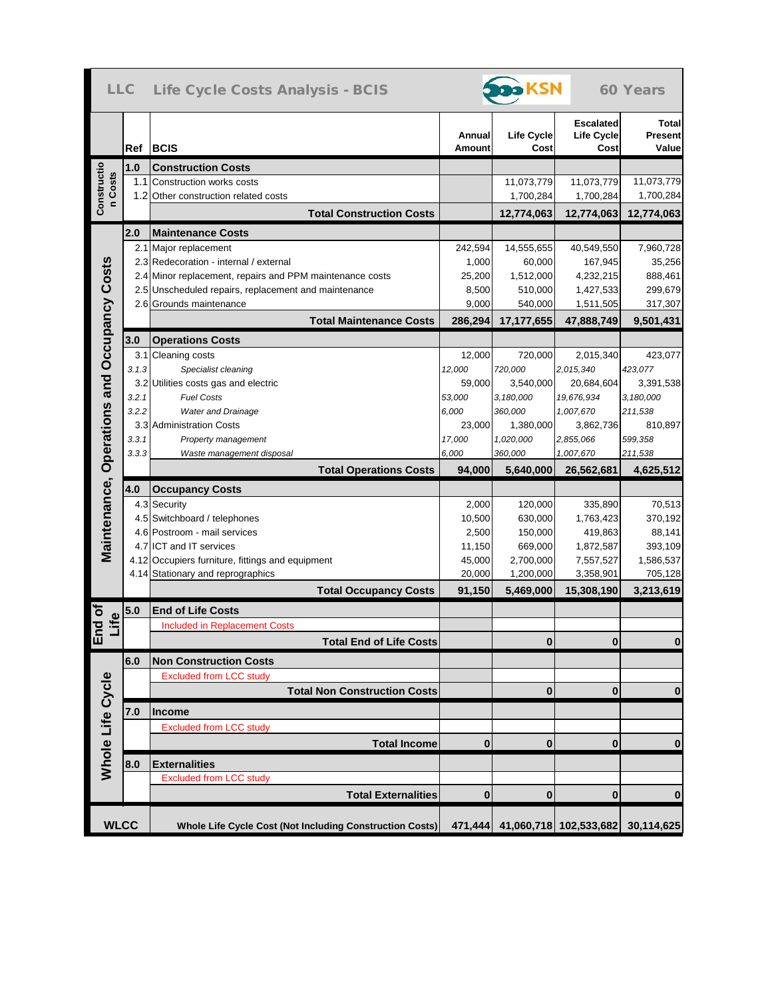|                                             |       | LLC Life Cycle Costs Analysis - BCIS                     |                  | <b>D</b> KSN              |                                               | 60 Years                                |
|---------------------------------------------|-------|----------------------------------------------------------|------------------|---------------------------|-----------------------------------------------|-----------------------------------------|
|                                             |       | Ref BCIS                                                 | Annual<br>Amount | <b>Life Cycle</b><br>Cost | <b>Escalated</b><br><b>Life Cycle</b><br>Cost | <b>Total</b><br><b>Present</b><br>Value |
|                                             | 1.0   | <b>Construction Costs</b>                                |                  |                           |                                               |                                         |
|                                             |       | 1.1 Construction works costs                             |                  | 11,073,779                | 11,073,779                                    | 11,073,779                              |
| Constructio<br>n Costs                      |       | 1.2 Other construction related costs                     |                  | 1,700,284                 | 1,700,284                                     | 1,700,284                               |
|                                             |       | <b>Total Construction Costs</b>                          |                  | 12,774,063                | 12,774,063                                    | 12,774,063                              |
|                                             | 2.0   | <b>Maintenance Costs</b>                                 |                  |                           |                                               |                                         |
|                                             |       | 2.1 Major replacement                                    | 242,594          | 14,555,655                | 40,549,550                                    | 7,960,728                               |
|                                             |       | 2.3 Redecoration - internal / external                   | 1,000            | 60,000                    | 167,945                                       | 35,256                                  |
|                                             |       | 2.4 Minor replacement, repairs and PPM maintenance costs | 25,200           | 1,512,000                 | 4,232,215                                     | 888,461                                 |
|                                             |       | 2.5 Unscheduled repairs, replacement and maintenance     | 8,500            | 510,000                   | 1,427,533                                     | 299,679                                 |
|                                             |       | 2.6 Grounds maintenance                                  | 9,000            | 540,000                   | 1,511,505                                     | 317,307                                 |
| Maintenance, Operations and Occupancy Costs |       | <b>Total Maintenance Costs</b>                           | 286,294          | 17,177,655                | 47,888,749                                    | 9,501,431                               |
|                                             | 3.0   | <b>Operations Costs</b>                                  |                  |                           |                                               |                                         |
|                                             |       | 3.1 Cleaning costs                                       | 12,000           | 720,000                   | 2,015,340                                     | 423,077                                 |
|                                             | 3.1.3 | Specialist cleaning                                      | 12,000           | 720,000                   | 2,015,340                                     | 423,077                                 |
|                                             |       | 3.2 Utilities costs gas and electric                     | 59.000           | 3,540,000                 | 20,684,604                                    | 3,391,538                               |
|                                             | 3.2.1 | <b>Fuel Costs</b>                                        | 53,000           | 3,180,000                 | 19,676,934                                    | 3,180,000                               |
|                                             | 3.2.2 | <b>Water and Drainage</b>                                | 6,000            | 360,000                   | 1,007,670                                     | 211,538                                 |
|                                             |       | 3.3 Administration Costs                                 | 23,000           | 1,380,000                 | 3,862,736                                     | 810,897                                 |
|                                             | 3.3.1 | Property management                                      | 17,000           | 1,020,000                 | 2,855,066                                     | 599,358                                 |
|                                             | 3.3.3 | Waste management disposal                                | 6,000            | 360,000                   | 1,007,670                                     | 211,538                                 |
|                                             |       | <b>Total Operations Costs</b>                            | 94,000           | 5,640,000                 | 26,562,681                                    | 4,625,512                               |
|                                             |       |                                                          |                  |                           |                                               |                                         |
|                                             | 4.0   | <b>Occupancy Costs</b>                                   |                  |                           |                                               |                                         |
|                                             |       | 4.3 Security                                             | 2,000            | 120,000                   | 335,890                                       | 70,513                                  |
|                                             |       | 4.5 Switchboard / telephones                             | 10,500           | 630,000                   | 1,763,423                                     | 370,192                                 |
|                                             |       | 4.6 Postroom - mail services                             | 2,500            | 150,000                   | 419,863                                       | 88,141                                  |
|                                             |       | 4.7 ICT and IT services                                  | 11,150           | 669,000                   | 1,872,587                                     | 393,109                                 |
|                                             |       | 4.12 Occupiers furniture, fittings and equipment         | 45,000           | 2,700,000                 | 7,557,527                                     | 1,586,537                               |
|                                             |       | 4.14 Stationary and reprographics                        | 20,000           | 1,200,000                 | 3,358,901                                     | 705,128                                 |
|                                             |       | <b>Total Occupancy Costs</b>                             | 91,150           | 5,469,000                 | 15,308,190                                    | 3,213,619                               |
| ind of<br>Life                              | $5.0$ | <b>End of Life Costs</b>                                 |                  |                           |                                               |                                         |
|                                             |       | <b>Included in Replacement Costs</b>                     |                  |                           |                                               |                                         |
| ш                                           |       | <b>Total End of Life Costs</b>                           |                  | $\mathbf{0}$              | $\mathbf{0}$                                  | $\bf{0}$                                |
|                                             | 6.0   | <b>Non Construction Costs</b>                            |                  |                           |                                               |                                         |
|                                             |       | <b>Excluded from LCC study</b>                           |                  |                           |                                               |                                         |
|                                             |       | <b>Total Non Construction Costs</b>                      |                  | $\bf{0}$                  | $\bf{0}$                                      | $\bf{0}$                                |
|                                             |       |                                                          |                  |                           |                                               |                                         |
|                                             |       |                                                          |                  |                           |                                               |                                         |
|                                             | 7.0   | Income                                                   |                  |                           |                                               |                                         |
|                                             |       | <b>Excluded from LCC study</b>                           | $\bf{0}$         | $\bf{0}$                  | $\bf{0}$                                      | $\bf{0}$                                |
|                                             |       | <b>Total Income</b>                                      |                  |                           |                                               |                                         |
| Whole Life Cycle                            | 8.0   | <b>Externalities</b>                                     |                  |                           |                                               |                                         |
|                                             |       | <b>Excluded from LCC study</b>                           |                  |                           |                                               |                                         |
|                                             |       | <b>Total Externalities</b>                               | $\bf{0}$         | $\bf{0}$                  | $\bf{0}$                                      | $\bf{0}$                                |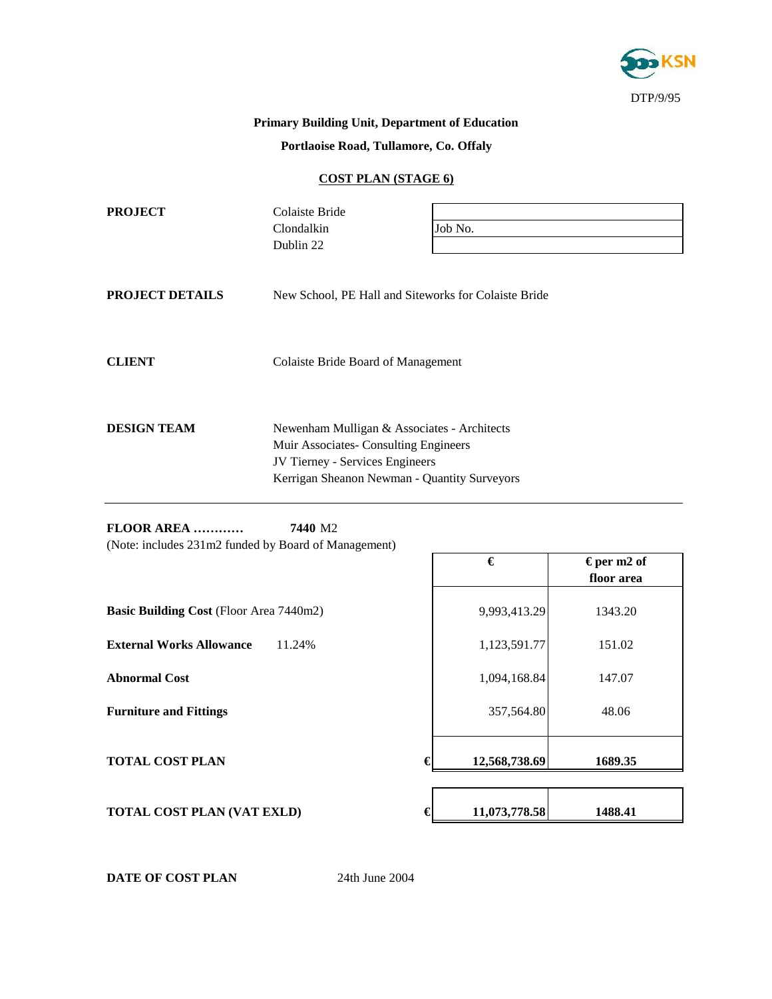

### **Primary Building Unit, Department of Education**

**Portlaoise Road, Tullamore, Co. Offaly**

#### **COST PLAN (STAGE 6)**

| <b>PROJECT</b>         | Colaiste Bride<br>Clondalkin                                                                                                                                            | Job No. |  |  |
|------------------------|-------------------------------------------------------------------------------------------------------------------------------------------------------------------------|---------|--|--|
|                        | Dublin 22                                                                                                                                                               |         |  |  |
| <b>PROJECT DETAILS</b> | New School, PE Hall and Siteworks for Colaiste Bride                                                                                                                    |         |  |  |
| <b>CLIENT</b>          | Colaiste Bride Board of Management                                                                                                                                      |         |  |  |
| <b>DESIGN TEAM</b>     | Newenham Mulligan & Associates - Architects<br>Muir Associates- Consulting Engineers<br>JV Tierney - Services Engineers<br>Kerrigan Sheanon Newman - Quantity Surveyors |         |  |  |

**FLOOR AREA ………… 7440** M2 (Note: includes 231m2 funded by Board of Management)

|                                                | €             | € per m2 of |
|------------------------------------------------|---------------|-------------|
|                                                |               | floor area  |
| <b>Basic Building Cost (Floor Area 7440m2)</b> | 9,993,413.29  | 1343.20     |
| <b>External Works Allowance</b><br>11.24%      | 1,123,591.77  | 151.02      |
| <b>Abnormal Cost</b>                           | 1,094,168.84  | 147.07      |
| <b>Furniture and Fittings</b>                  | 357,564.80    | 48.06       |
| <b>TOTAL COST PLAN</b>                         | 12,568,738.69 | 1689.35     |
| <b>TOTAL COST PLAN (VAT EXLD)</b>              | 11,073,778.58 | 1488.41     |

**DATE OF COST PLAN** 24th June 2004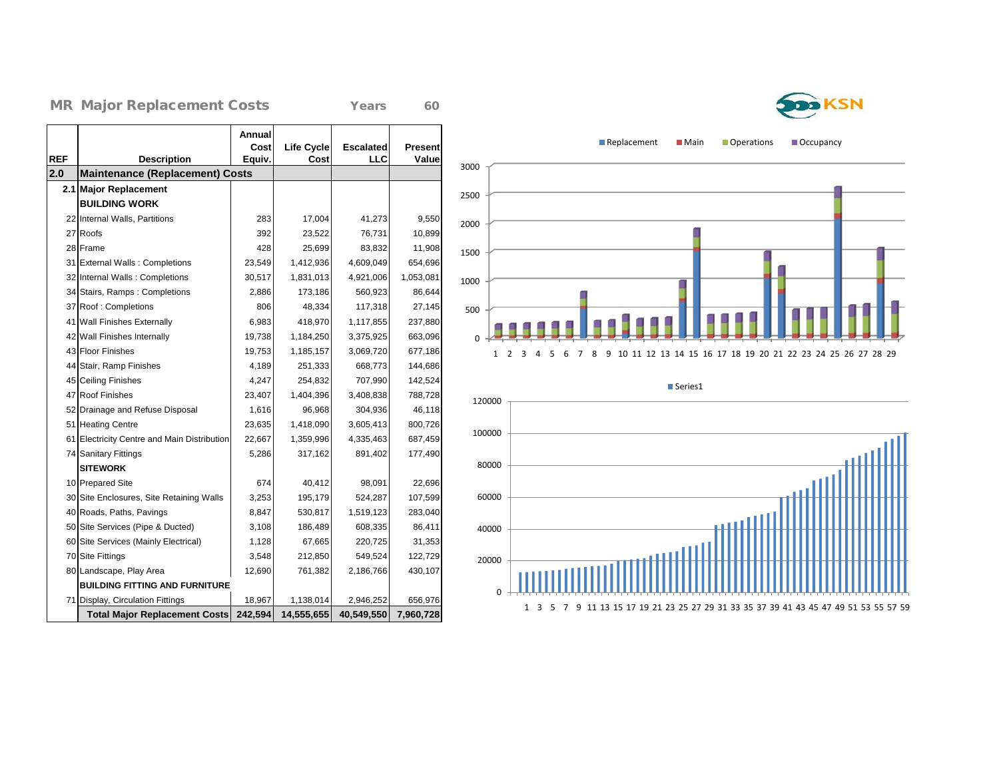#### MR Major Replacement Costs Years 60

|            |                                             | Annual<br>Cost | <b>Life Cycle</b> | <b>Escalated</b> | <b>Present</b> |
|------------|---------------------------------------------|----------------|-------------------|------------------|----------------|
| <b>REF</b> | <b>Description</b>                          | Equiv.         | Cost              | LLC              | Value          |
| 2.0        | <b>Maintenance (Replacement) Costs</b>      |                |                   |                  |                |
| 2.1        | <b>Major Replacement</b>                    |                |                   |                  |                |
|            | <b>BUILDING WORK</b>                        |                |                   |                  |                |
|            | 22 Internal Walls, Partitions               | 283            | 17,004            | 41,273           | 9,550          |
|            | 27 Roofs                                    | 392            | 23,522            | 76,731           | 10,899         |
|            | 28 Frame                                    | 428            | 25,699            | 83,832           | 11,908         |
|            | 31 External Walls: Completions              | 23,549         | 1,412,936         | 4,609,049        | 654,696        |
|            | 32 Internal Walls: Completions              | 30,517         | 1,831,013         | 4,921,006        | 1,053,081      |
|            | 34 Stairs, Ramps: Completions               | 2,886          | 173,186           | 560,923          | 86,644         |
|            | 37 Roof: Completions                        | 806            | 48,334            | 117,318          | 27,145         |
| 41         | <b>Wall Finishes Externally</b>             | 6,983          | 418,970           | 1,117,855        | 237,880        |
|            | 42 Wall Finishes Internally                 | 19,738         | 1,184,250         | 3,375,925        | 663,096        |
|            | 43 Floor Finishes                           | 19,753         | 1,185,157         | 3,069,720        | 677,186        |
|            | 44 Stair, Ramp Finishes                     | 4,189          | 251,333           | 668,773          | 144,686        |
|            | 45 Ceiling Finishes                         | 4,247          | 254,832           | 707,990          | 142,524        |
|            | 47 Roof Finishes                            | 23,407         | 1,404,396         | 3,408,838        | 788,728        |
|            | 52 Drainage and Refuse Disposal             | 1,616          | 96,968            | 304,936          | 46,118         |
|            | 51 Heating Centre                           | 23,635         | 1,418,090         | 3,605,413        | 800,726        |
|            | 61 Electricity Centre and Main Distribution | 22,667         | 1,359,996         | 4,335,463        | 687,459        |
|            | 74 Sanitary Fittings                        | 5,286          | 317,162           | 891,402          | 177,490        |
|            | <b>SITEWORK</b>                             |                |                   |                  |                |
|            | 10 Prepared Site                            | 674            | 40,412            | 98,091           | 22,696         |
|            | 30 Site Enclosures, Site Retaining Walls    | 3,253          | 195,179           | 524,287          | 107,599        |
|            | 40 Roads, Paths, Pavings                    | 8,847          | 530,817           | 1,519,123        | 283,040        |
|            | 50 Site Services (Pipe & Ducted)            | 3,108          | 186,489           | 608,335          | 86,411         |
|            | 60 Site Services (Mainly Electrical)        | 1,128          | 67,665            | 220,725          | 31,353         |
|            | 70 Site Fittings                            | 3,548          | 212,850           | 549,524          | 122,729        |
|            | 80 Landscape, Play Area                     | 12,690         | 761,382           | 2,186,766        | 430,107        |
|            | <b>BUILDING FITTING AND FURNITURE</b>       |                |                   |                  |                |
|            | 71 Display, Circulation Fittings            | 18,967         | 1,138,014         | 2,946,252        | 656,976        |
|            | <b>Total Major Replacement Costs</b>        | 242,594        | 14,555,655        | 40,549,550       | 7,960,728      |

Replacement Main Operations Cccupancy







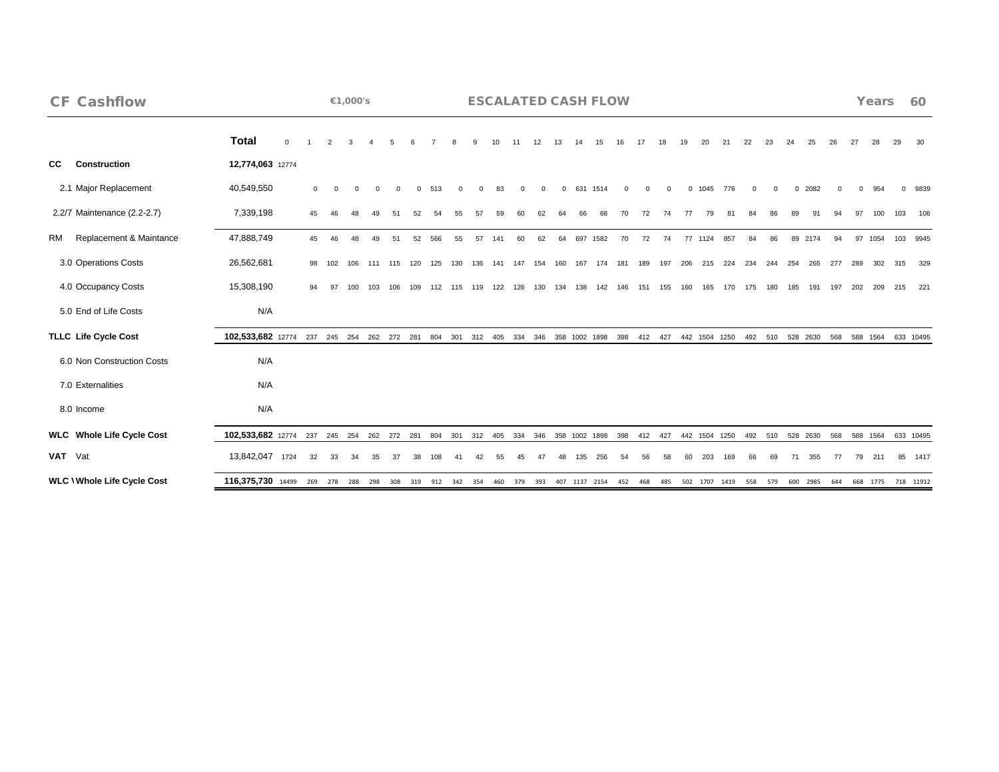| <b>CF Cashflow</b>                |                               |          |                |     | €1,000's                |     |             |          |     |          |             |         |          |          |          |     | <b>ESCALATED CASH FLOW</b> |          |          |          |     |               |                   |          |          |     |              |     |     | Years    |     | 60                 |
|-----------------------------------|-------------------------------|----------|----------------|-----|-------------------------|-----|-------------|----------|-----|----------|-------------|---------|----------|----------|----------|-----|----------------------------|----------|----------|----------|-----|---------------|-------------------|----------|----------|-----|--------------|-----|-----|----------|-----|--------------------|
|                                   | <b>Total</b>                  | $\Omega$ |                |     |                         |     |             |          |     |          |             |         |          |          |          |     |                            |          |          |          |     | 20            | 21                | 22       | 23       | 24  | 25           | 26  | 27  | 28       | 29  | 30                 |
| <b>CC</b><br>Construction         | 12,774,063 12774              |          |                |     |                         |     |             |          |     |          |             |         |          |          |          |     |                            |          |          |          |     |               |                   |          |          |     |              |     |     |          |     |                    |
| 2.1 Major Replacement             | 40,549,550                    |          | $\overline{0}$ |     | $\Omega$                |     | $\Omega$    | $\Omega$ | 513 | $\Omega$ |             | 83      | $\Omega$ | $\Omega$ | $\Omega$ |     | 631 1514                   | $\Omega$ | $\Omega$ | $\Omega$ |     | 0 1045        | 776               | $\Omega$ | $\Omega$ |     | 0 2082       |     |     | 954      |     | 0 9839             |
| 2.2/7 Maintenance (2.2-2.7)       | 7,339,198                     |          | 45             | 46  | 48                      | 49  | 51          | 52       | 54  | 55       | 57          | 59      | 60       |          |          | 66  | 68                         | 70       | 72       | 74       | 77  | 79            | 81                | 84       | 86       | 89  | 91           |     |     | 100      | 103 | 106                |
| Replacement & Maintance<br>RM     | 47,888,749                    |          | 45             | 46  | 48                      | 49  | 51          | 52       | 566 | 55       | 57          | 141     | 60       | 62       | 64       | 697 | 1582                       | 70       | 72       | 74       | 77  | 1124          | 857               | 84       | 86       | 89  | 2174         | 94  | 97  | 1054     |     | 103 9945           |
| 3.0 Operations Costs              | 26,562,681                    |          | 98             | 102 | 106                     |     | 115         | 120      | 125 | 130      | 136         | 141     | 147      | 154      | 160      | 167 | 174                        | 181      | 189      | 197      | 206 | 215           | 224               | 234      | 244      | 254 | 265          | 277 | 289 | 302      | 315 | 329                |
| 4.0 Occupancy Costs               | 15,308,190                    |          | 94             | 97  | 100                     | 103 | 106         | 109      | 112 | 115      | 119         | 122     | 126      | 130      | 134      | 138 | 142                        | 146      | 151      | 155      | 160 | 165           | 170               | 175      | 180      | 185 | 191          | 197 | 202 | 209      | 215 | 221                |
| 5.0 End of Life Costs             | N/A                           |          |                |     |                         |     |             |          |     |          |             |         |          |          |          |     |                            |          |          |          |     |               |                   |          |          |     |              |     |     |          |     |                    |
| <b>TLLC Life Cycle Cost</b>       | 102,533,682 12774             |          |                |     | 237 245 254 262 272 281 |     |             |          | 804 | 301      |             | 312 405 | 334      | 346      |          |     | 358 1002 1898              | 398      | 412      | 427      |     | 442 1504 1250 |                   | 492      | 510      |     | 528 2630     | 568 |     | 588 1564 |     | 633 10495          |
| 6.0 Non Construction Costs        | N/A                           |          |                |     |                         |     |             |          |     |          |             |         |          |          |          |     |                            |          |          |          |     |               |                   |          |          |     |              |     |     |          |     |                    |
| 7.0 Externalities                 | N/A                           |          |                |     |                         |     |             |          |     |          |             |         |          |          |          |     |                            |          |          |          |     |               |                   |          |          |     |              |     |     |          |     |                    |
| 8.0 Income                        | N/A                           |          |                |     |                         |     |             |          |     |          |             |         |          |          |          |     |                            |          |          |          |     |               |                   |          |          |     |              |     |     |          |     |                    |
| <b>WLC</b> Whole Life Cycle Cost  | 102,533,682 12774             |          |                |     | 237 245 254             |     | 262 272 281 |          | 804 | 301      | 312 405     |         | 334      | 346      |          |     | 358 1002 1898              | 398      | 412      | 427      |     | 442 1504 1250 |                   |          | 492 510  |     | 528 2630     | 568 |     | 588 1564 |     | 633 10495          |
| VAT Vat                           | 13,842,047 1724               |          | 32             | 33  | 34                      |     |             |          | 108 |          |             |         |          |          |          | 135 | 256                        |          | 56       | 58       | 60  | 203           |                   | 66       | 69       | 71  | 355          | 77  | 79  | 211      |     | 85 1417            |
| <b>WLC \Whole Life Cycle Cost</b> | 116,375,730 14499 269 278 288 |          |                |     |                         | 298 | 308         | 319      |     |          | 912 342 354 | 460     |          | 379 393  |          |     | 407 1137 2154              | 452      | 468      | 485      |     |               | 502 1707 1419 558 |          | 579      |     | 600 2985 644 |     |     |          |     | 668 1775 718 11912 |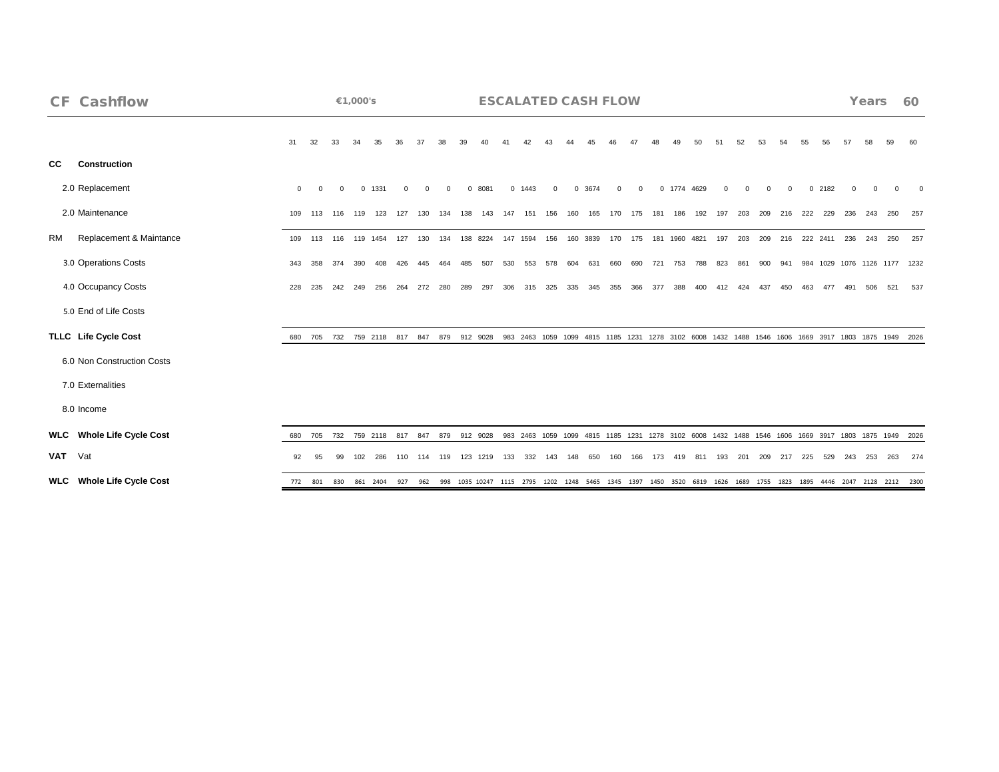| <b>CF Cashflow</b>               |              |             |          | €1,000's |                 |     |     |     |          |                                       |         | <b>ESCALATED CASH FLOW</b> |          |          |          |     |          |                 |               |                     |     |             |     |          |     |          |     | Years |     | 60                                                                                                                                           |
|----------------------------------|--------------|-------------|----------|----------|-----------------|-----|-----|-----|----------|---------------------------------------|---------|----------------------------|----------|----------|----------|-----|----------|-----------------|---------------|---------------------|-----|-------------|-----|----------|-----|----------|-----|-------|-----|----------------------------------------------------------------------------------------------------------------------------------------------|
|                                  | 31           | 32          | 33       | 34       |                 |     |     |     |          |                                       |         |                            |          |          |          |     |          |                 |               | 50                  | 51  | 52          | 53  | 54       | 55  | 56       | 57  |       |     |                                                                                                                                              |
| <b>CC</b><br><b>Construction</b> |              |             |          |          |                 |     |     |     |          |                                       |         |                            |          |          |          |     |          |                 |               |                     |     |             |     |          |     |          |     |       |     |                                                                                                                                              |
| 2.0 Replacement                  | $\mathbf{0}$ | $\Omega$    | $\Omega$ |          | 0 1331          |     |     |     | $\Omega$ | 8081                                  |         | 0 1443                     | $\Omega$ | $\Omega$ | 3674     |     | $\Omega$ |                 | 0 1774 4629   |                     |     |             |     | $\Omega$ |     | $0$ 2182 |     |       |     |                                                                                                                                              |
| 2.0 Maintenance                  | 109          | 113         | 116      |          | 119 123 127 130 |     |     | 134 | 138      | 143                                   | 147 151 |                            | 156      | 160      |          |     |          | 165 170 175 181 | 186           | 192                 |     | 197 203 209 |     | 216      |     | 222 229  | 236 | 243   |     | - 257                                                                                                                                        |
| Replacement & Maintance<br>RM    | 109          | 113         | 116      |          | 119 1454        | 127 | 130 | 134 | 138      | 8224                                  |         | 147 1594                   | 156      |          | 160 3839 | 170 | 175      |                 | 181 1960 4821 |                     |     | 197 203     | 209 | 216      |     | 222 2411 | 236 | 243   | 250 | 257                                                                                                                                          |
| 3.0 Operations Costs             | 343          | 358         | 374      | 390      | 408             | 426 | 445 | 464 |          | 507                                   | 530     | 553                        | 578      | 604      | 631      | 660 | 690      | 721             | 753           | 788                 | 823 | 861         | 900 | 941      |     |          |     |       |     | 984 1029 1076 1126 1177 1232                                                                                                                 |
| 4.0 Occupancy Costs              | 228          | 235         | 242      | 249      | 256             | 264 | 272 | 280 | 289      | 297                                   | 306     | 315                        | 325      | 335      | 345      | 355 | 366      | 377             | 388           |                     |     |             |     |          |     |          |     |       |     | 537                                                                                                                                          |
| 5.0 End of Life Costs            |              |             |          |          |                 |     |     |     |          |                                       |         |                            |          |          |          |     |          |                 |               |                     |     |             |     |          |     |          |     |       |     |                                                                                                                                              |
| TLLC Life Cycle Cost             | 680          |             |          |          |                 |     |     |     |          | 705 732 759 2118 817 847 879 912 9028 |         |                            |          |          |          |     |          |                 |               |                     |     |             |     |          |     |          |     |       |     | 983 2463 1059 1099 4815 1185 1231 1278 3102 6008 1432 1488 1546 1606 1669 3917 1803 1875 1949 2026                                           |
| 6.0 Non Construction Costs       |              |             |          |          |                 |     |     |     |          |                                       |         |                            |          |          |          |     |          |                 |               |                     |     |             |     |          |     |          |     |       |     |                                                                                                                                              |
| 7.0 Externalities                |              |             |          |          |                 |     |     |     |          |                                       |         |                            |          |          |          |     |          |                 |               |                     |     |             |     |          |     |          |     |       |     |                                                                                                                                              |
| 8.0 Income                       |              |             |          |          |                 |     |     |     |          |                                       |         |                            |          |          |          |     |          |                 |               |                     |     |             |     |          |     |          |     |       |     |                                                                                                                                              |
| <b>WLC</b> Whole Life Cycle Cost |              |             |          |          |                 |     |     |     |          |                                       |         |                            |          |          |          |     |          |                 |               |                     |     |             |     |          |     |          |     |       |     | 680 705 732 759 2118 817 847 879 912 9028 983 2463 1059 1099 4815 1185 1231 1278 3102 6008 1432 1488 1546 1606 1669 3917 1803 1875 1949 2026 |
| VAT Vat                          | 92           |             | 99       |          | 102 286         |     |     |     |          | 110 114 119 123 1219 133 332          |         |                            | - 143    | 148      | 650 160  |     | 166      | - 173           |               | 419 811 193 201 209 |     |             |     | 217      | 225 | 529      | 243 | - 253 | 263 | 274                                                                                                                                          |
| <b>WLC</b> Whole Life Cycle Cost |              | 772 801 830 |          |          |                 |     |     |     |          |                                       |         |                            |          |          |          |     |          |                 |               |                     |     |             |     |          |     |          |     |       |     | 861 2404 927 962 998 1035 10247 1115 2795 1202 1248 5465 1345 1397 1450 3520 6819 1626 1689 1755 1823 1895 4446 2047 2128 2212 2300          |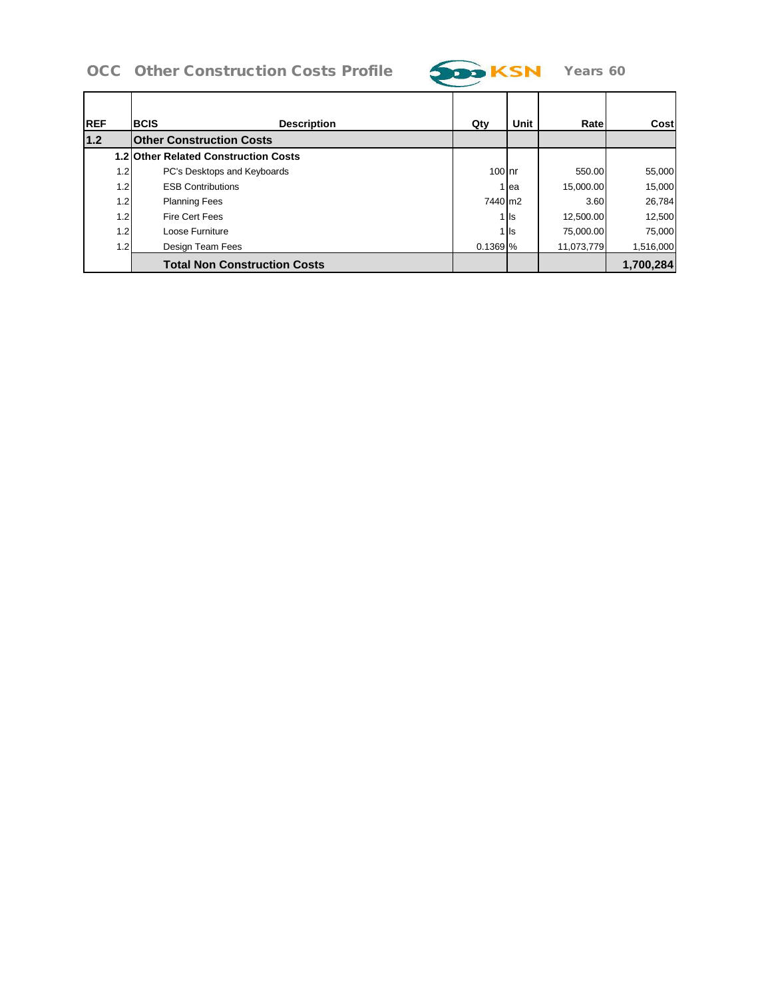# OCC Other Construction Costs Profile 700 KSN Years 60



| <b>IREF</b> | <b>BCIS</b> | <b>Description</b>                          | Qty       | Unit  | Rate       | Cost      |
|-------------|-------------|---------------------------------------------|-----------|-------|------------|-----------|
| 1.2         |             | <b>Other Construction Costs</b>             |           |       |            |           |
|             |             | <b>1.2 Other Related Construction Costs</b> |           |       |            |           |
| 1.2         |             | PC's Desktops and Keyboards                 | $100$ Inr |       | 550.00     | 55,000    |
| 1.2         |             | <b>ESB Contributions</b>                    |           | lea   | 15,000.00  | 15,000    |
| 1.2         |             | <b>Planning Fees</b>                        | 7440 m2   |       | 3.60       | 26,784    |
| 1.2         |             | Fire Cert Fees                              |           | 1 Is  | 12,500.00  | 12,500    |
| 1.2         |             | Loose Furniture                             |           | 1 lls | 75.000.00  | 75,000    |
| 1.2         |             | Design Team Fees                            | 0.1369 %  |       | 11,073,779 | 1,516,000 |
|             |             | <b>Total Non Construction Costs</b>         |           |       |            | 1,700,284 |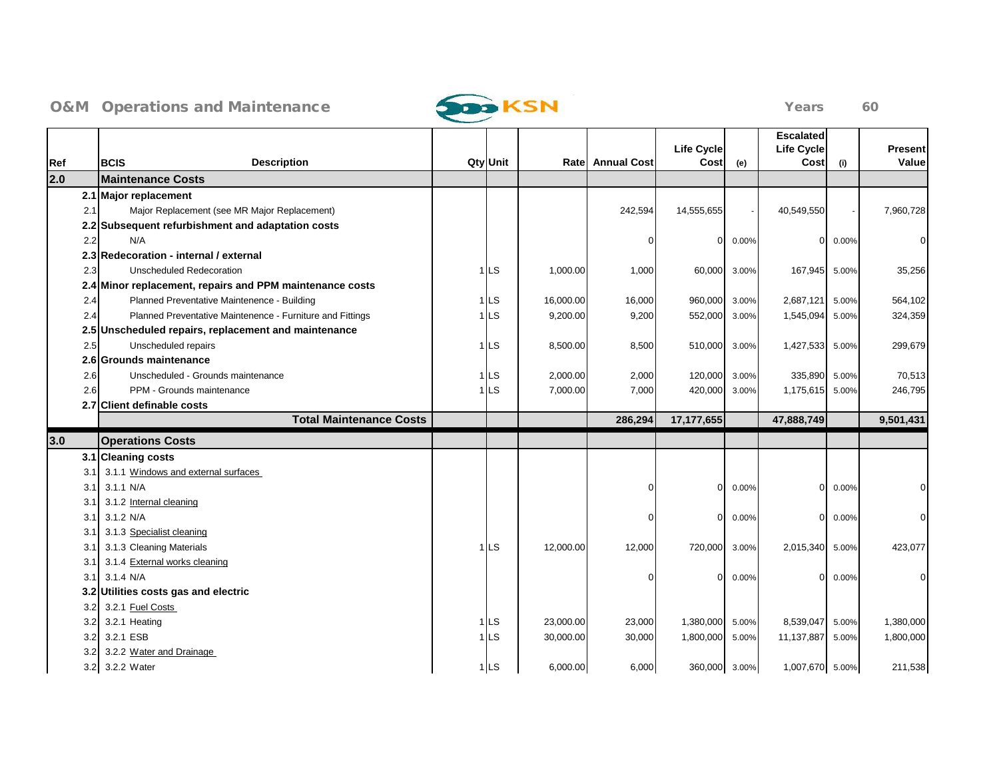

| Ref  | <b>Description</b><br><b>BCIS</b>                         | <b>Qty</b> Unit |           | <b>Ratel Annual Cost</b> | <b>Life Cycle</b><br>Cost | (e)   | <b>Escalated</b><br><b>Life Cycle</b><br>Cost | (i)   | Present<br>Value |
|------|-----------------------------------------------------------|-----------------|-----------|--------------------------|---------------------------|-------|-----------------------------------------------|-------|------------------|
| 2.0  | <b>Maintenance Costs</b>                                  |                 |           |                          |                           |       |                                               |       |                  |
|      | 2.1 Major replacement                                     |                 |           |                          |                           |       |                                               |       |                  |
| 2.1  | Major Replacement (see MR Major Replacement)              |                 |           | 242,594                  | 14,555,655                |       | 40,549,550                                    |       | 7,960,728        |
|      | 2.2 Subsequent refurbishment and adaptation costs         |                 |           |                          |                           |       |                                               |       |                  |
| 2.2  | N/A                                                       |                 |           | $\Omega$                 | 0                         | 0.00% | $\overline{0}$                                | 0.00% | $\Omega$         |
|      | 2.3 Redecoration - internal / external                    |                 |           |                          |                           |       |                                               |       |                  |
| 2.3  | Unscheduled Redecoration                                  | $1$ LS          | 1,000.00  | 1,000                    | 60,000                    | 3.00% | 167,945                                       | 5.00% | 35,256           |
|      | 2.4 Minor replacement, repairs and PPM maintenance costs  |                 |           |                          |                           |       |                                               |       |                  |
| 2.4  | Planned Preventative Maintenence - Building               | $1$ LS          | 16,000.00 | 16,000                   | 960,000                   | 3.00% | 2,687,121                                     | 5.00% | 564,102          |
| 2.4  | Planned Preventative Maintenence - Furniture and Fittings | ∣l∟s            | 9,200.00  | 9,200                    | 552,000                   | 3.00% | 1,545,094                                     | 5.00% | 324,359          |
|      | 2.5 Unscheduled repairs, replacement and maintenance      |                 |           |                          |                           |       |                                               |       |                  |
| 2.5  | Unscheduled repairs                                       | $1$ LS          | 8,500.00  | 8,500                    | 510,000                   | 3.00% | 1,427,533                                     | 5.00% | 299,679          |
|      | 2.6 Grounds maintenance                                   |                 |           |                          |                           |       |                                               |       |                  |
| 2.6  | Unscheduled - Grounds maintenance                         | ∣LS             | 2,000.00  | 2,000                    | 120,000                   | 3.00% | 335,890                                       | 5.00% | 70,513           |
| 2.6  | PPM - Grounds maintenance                                 | ⊧l∟s            | 7,000.00  | 7,000                    | 420,000                   | 3.00% | 1,175,615                                     | 5.00% | 246,795          |
|      | 2.7 Client definable costs                                |                 |           |                          |                           |       |                                               |       |                  |
|      | <b>Total Maintenance Costs</b>                            |                 |           | 286,294                  | 17,177,655                |       | 47,888,749                                    |       | 9,501,431        |
| 3.0  | <b>Operations Costs</b>                                   |                 |           |                          |                           |       |                                               |       |                  |
|      | 3.1 Cleaning costs                                        |                 |           |                          |                           |       |                                               |       |                  |
| 3.1  | 3.1.1 Windows and external surfaces                       |                 |           |                          |                           |       |                                               |       |                  |
| 3.1  | 3.1.1 N/A                                                 |                 |           | ſ                        | $\Omega$                  | 0.00% | $\Omega$                                      | 0.00% |                  |
| 3.1  | 3.1.2 Internal cleaning                                   |                 |           |                          |                           |       |                                               |       |                  |
| 3.1  | 3.1.2 N/A                                                 |                 |           | ∩                        | $\Omega$                  | 0.00% | $\Omega$                                      | 0.00% | $\Omega$         |
| 3.1  | 3.1.3 Specialist cleaning                                 |                 |           |                          |                           |       |                                               |       |                  |
| 3.1  | 3.1.3 Cleaning Materials                                  | $1$ LS          | 12,000.00 | 12,000                   | 720,000                   | 3.00% | 2,015,340                                     | 5.00% | 423,077          |
| 3.1  | 3.1.4 External works cleaning                             |                 |           |                          |                           |       |                                               |       |                  |
| 3.11 | 3.1.4 N/A                                                 |                 |           | ∩                        | $\Omega$                  | 0.00% | $\Omega$                                      | 0.00% | ŋ                |
|      | 3.2 Utilities costs gas and electric                      |                 |           |                          |                           |       |                                               |       |                  |
| 3.2  | 3.2.1 Fuel Costs                                          |                 |           |                          |                           |       |                                               |       |                  |
| 3.2  | 3.2.1 Heating                                             | 1LS             | 23,000.00 | 23,000                   | 1,380,000                 | 5.00% | 8,539,047                                     | 5.00% | 1,380,000        |
| 3.2  | 3.2.1 ESB                                                 | $1$ LS          | 30,000.00 | 30,000                   | 1,800,000                 | 5.00% | 11,137,887                                    | 5.00% | 1,800,000        |
| 3.2  | 3.2.2 Water and Drainage                                  |                 |           |                          |                           |       |                                               |       |                  |
|      | 3.2 3.2.2 Water                                           | $1$ LS          | 6,000.00  | 6,000                    | 360,000                   | 3.00% | 1,007,670 5.00%                               |       | 211,538          |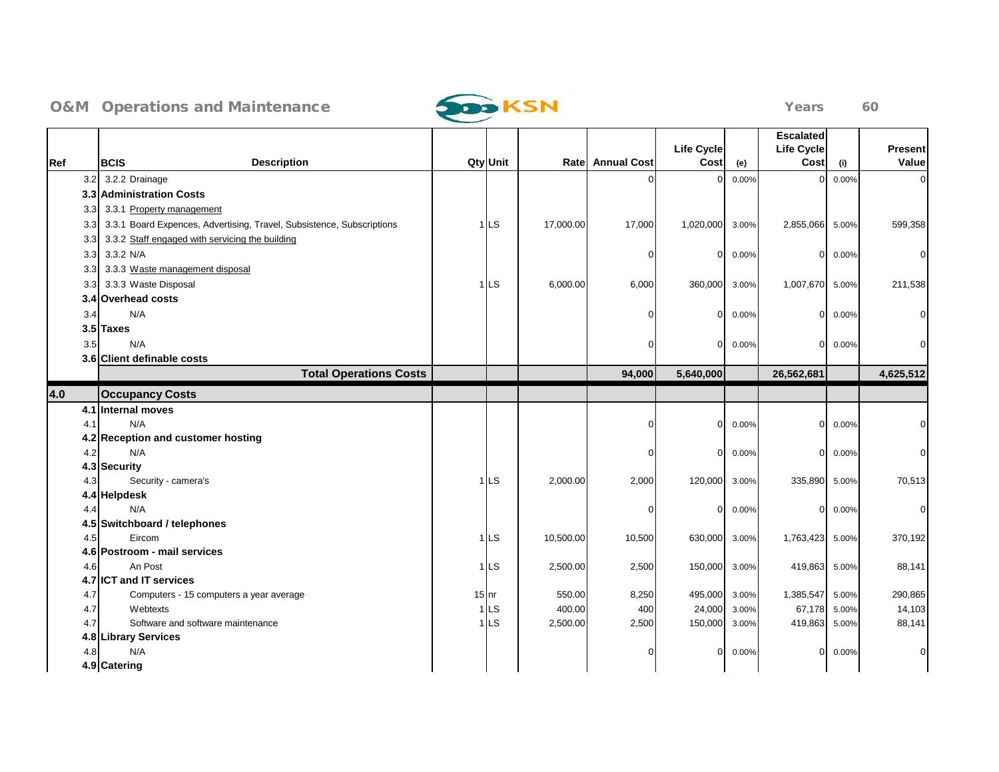

|                  |                                                                       |         |                 |           |                  |                           |       | <b>Escalated</b>          |       |                         |
|------------------|-----------------------------------------------------------------------|---------|-----------------|-----------|------------------|---------------------------|-------|---------------------------|-------|-------------------------|
| Ref              | <b>Description</b><br><b>BCIS</b>                                     |         | <b>Qty</b> Unit |           | Rate Annual Cost | <b>Life Cycle</b><br>Cost | (e)   | <b>Life Cycle</b><br>Cost | (i)   | <b>Present</b><br>Value |
| 3.2              | 3.2.2 Drainage                                                        |         |                 |           |                  | $\Omega$                  | 0.00% | U                         | 0.00% | ∩                       |
|                  | 3.3 Administration Costs                                              |         |                 |           |                  |                           |       |                           |       |                         |
| 3.3              | 3.3.1 Property management                                             |         |                 |           |                  |                           |       |                           |       |                         |
| 3.3 <sub>1</sub> | 3.3.1 Board Expences, Advertising, Travel, Subsistence, Subscriptions |         | $1$ LS          | 17,000.00 | 17,000           | 1,020,000                 | 3.00% | 2,855,066                 | 5.00% | 599,358                 |
| 3.3 <sub>l</sub> | 3.3.2 Staff engaged with servicing the building                       |         |                 |           |                  |                           |       |                           |       |                         |
| 3.3              | 3.3.2 N/A                                                             |         |                 |           | $\mathbf 0$      | $\overline{0}$            | 0.00% | $\overline{0}$            | 0.00% | $\Omega$                |
| 3.3 <sub>l</sub> | 3.3.3 Waste management disposal                                       |         |                 |           |                  |                           |       |                           |       |                         |
| 3.3 <sub>l</sub> | 3.3.3 Waste Disposal                                                  |         | 1 <sub>LS</sub> | 6,000.00  | 6,000            | 360,000                   | 3.00% | 1,007,670 5.00%           |       | 211,538                 |
|                  | 3.4 Overhead costs                                                    |         |                 |           |                  |                           |       |                           |       |                         |
| 3.4              | N/A                                                                   |         |                 |           | ∩                | $\overline{0}$            | 0.00% | $\overline{0}$            | 0.00% | ∩                       |
|                  | 3.5 Taxes                                                             |         |                 |           |                  |                           |       |                           |       |                         |
| 3.5              | N/A                                                                   |         |                 |           | $\Omega$         | $\overline{0}$            | 0.00% | $\overline{0}$            | 0.00% |                         |
|                  | 3.6 Client definable costs                                            |         |                 |           |                  |                           |       |                           |       |                         |
|                  | <b>Total Operations Costs</b>                                         |         |                 |           | 94,000           | 5,640,000                 |       | 26,562,681                |       | 4,625,512               |
| 4.0              | <b>Occupancy Costs</b>                                                |         |                 |           |                  |                           |       |                           |       |                         |
|                  | 4.1 Internal moves                                                    |         |                 |           |                  |                           |       |                           |       |                         |
| 4.1              | N/A                                                                   |         |                 |           | $\Omega$         | $\overline{0}$            | 0.00% | 0                         | 0.00% |                         |
|                  | 4.2 Reception and customer hosting                                    |         |                 |           |                  |                           |       |                           |       |                         |
| 4.2              | N/A                                                                   |         |                 |           | $\Omega$         | $\overline{0}$            | 0.00% | $\mathbf 0$               | 0.00% |                         |
|                  | 4.3 Security                                                          |         |                 |           |                  |                           |       |                           |       |                         |
| 4.3              | Security - camera's                                                   |         | $1$ LS          | 2,000.00  | 2,000            | 120,000                   | 3.00% | 335,890                   | 5.00% | 70,513                  |
|                  | 4.4 Helpdesk                                                          |         |                 |           |                  |                           |       |                           |       |                         |
| 4.4              | N/A                                                                   |         |                 |           | $\Omega$         | $\overline{0}$            | 0.00% | $\overline{0}$            | 0.00% | 0                       |
|                  | 4.5 Switchboard / telephones                                          |         |                 |           |                  |                           |       |                           |       |                         |
| 4.5              | Eircom<br>4.6 Postroom - mail services                                |         | ∣LS             | 10,500.00 | 10,500           | 630,000                   | 3.00% | 1,763,423                 | 5.00% | 370,192                 |
| 4.6              | An Post                                                               |         | $1$ LS          | 2,500.00  | 2,500            | 150,000                   | 3.00% | 419,863                   | 5.00% | 88,141                  |
|                  | 4.7 <b>ICT</b> and IT services                                        |         |                 |           |                  |                           |       |                           |       |                         |
| 4.7              | Computers - 15 computers a year average                               | $15$ nr |                 | 550.00    | 8,250            | 495,000                   | 3.00% | 1,385,547                 | 5.00% | 290,865                 |
| 4.7              | Webtexts                                                              |         | ∣LS             | 400.00    | 400              | 24,000                    | 3.00% | 67,178                    | 5.00% | 14,103                  |
| 4.7              | Software and software maintenance                                     |         | 1 I∟s           | 2,500.00  | 2,500            | 150,000                   | 3.00% | 419,863                   | 5.00% | 88,141                  |
|                  | 4.8 Library Services                                                  |         |                 |           |                  |                           |       |                           |       |                         |
| 4.8              | N/A                                                                   |         |                 |           | $\Omega$         | $\Omega$                  | 0.00% | $\Omega$                  | 0.00% | O                       |
|                  | 4.9 Catering                                                          |         |                 |           |                  |                           |       |                           |       |                         |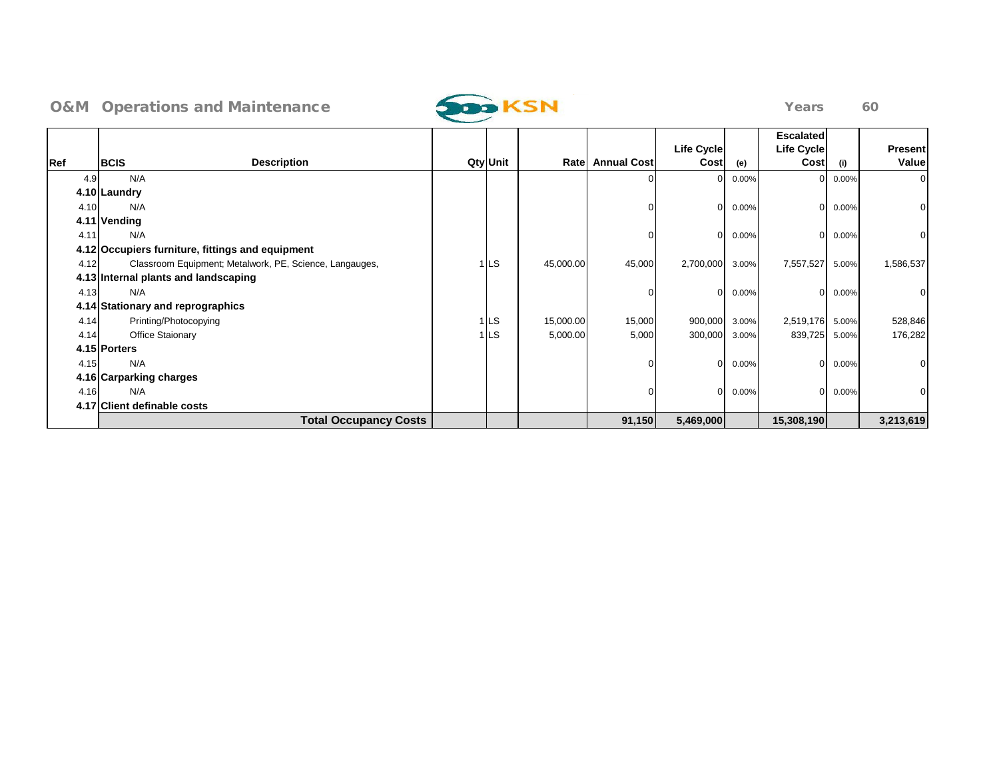

|      |                                                         |          |           |                    | <b>Life Cycle</b> |       | <b>Escalated</b><br><b>Life Cycle</b> |       | <b>Present</b> |
|------|---------------------------------------------------------|----------|-----------|--------------------|-------------------|-------|---------------------------------------|-------|----------------|
| Ref  | <b>Description</b><br><b>BCIS</b>                       | Qty Unit | Ratel     | <b>Annual Cost</b> | Cost              | (e)   | Cost                                  | (i)   | Value          |
| 4.9  | N/A                                                     |          |           |                    |                   | 0.00% | 0                                     | 0.00% | $\Omega$       |
|      | 4.10 Laundry                                            |          |           |                    |                   |       |                                       |       |                |
| 4.10 | N/A                                                     |          |           |                    | $\Omega$          | 0.00% | $\Omega$                              | 0.00% |                |
|      | 4.11 Vending                                            |          |           |                    |                   |       |                                       |       |                |
| 4.11 | N/A                                                     |          |           |                    | $\Omega$          | 0.00% | 0                                     | 0.00% |                |
|      | 4.12 Occupiers furniture, fittings and equipment        |          |           |                    |                   |       |                                       |       |                |
| 4.12 | Classroom Equipment; Metalwork, PE, Science, Langauges, | 1 LS     | 45,000.00 | 45,000             | 2,700,000         | 3.00% | 7,557,527                             | 5.00% | 1,586,537      |
|      | 4.13 Internal plants and landscaping                    |          |           |                    |                   |       |                                       |       |                |
| 4.13 | N/A                                                     |          |           |                    | $\Omega$          | 0.00% | $\overline{0}$                        | 0.00% |                |
|      | 4.14 Stationary and reprographics                       |          |           |                    |                   |       |                                       |       |                |
| 4.14 | Printing/Photocopying                                   | 1LS      | 15,000.00 | 15,000             | 900,000           | 3.00% | 2,519,176                             | 5.00% | 528,846        |
| 4.14 | Office Staionary                                        | 1 LS     | 5,000.00  | 5,000              | 300,000           | 3.00% | 839,725                               | 5.00% | 176,282        |
|      | 4.15 Porters                                            |          |           |                    |                   |       |                                       |       |                |
| 4.15 | N/A                                                     |          |           |                    | $\Omega$          | 0.00% | $\Omega$                              | 0.00% |                |
|      | 4.16 Carparking charges                                 |          |           |                    |                   |       |                                       |       |                |
| 4.16 | N/A                                                     |          |           |                    | $\Omega$          | 0.00% | $\Omega$                              | 0.00% |                |
|      | 4.17 Client definable costs                             |          |           |                    |                   |       |                                       |       |                |
|      | <b>Total Occupancy Costs</b>                            |          |           | 91,150             | 5,469,000         |       | 15,308,190                            |       | 3,213,619      |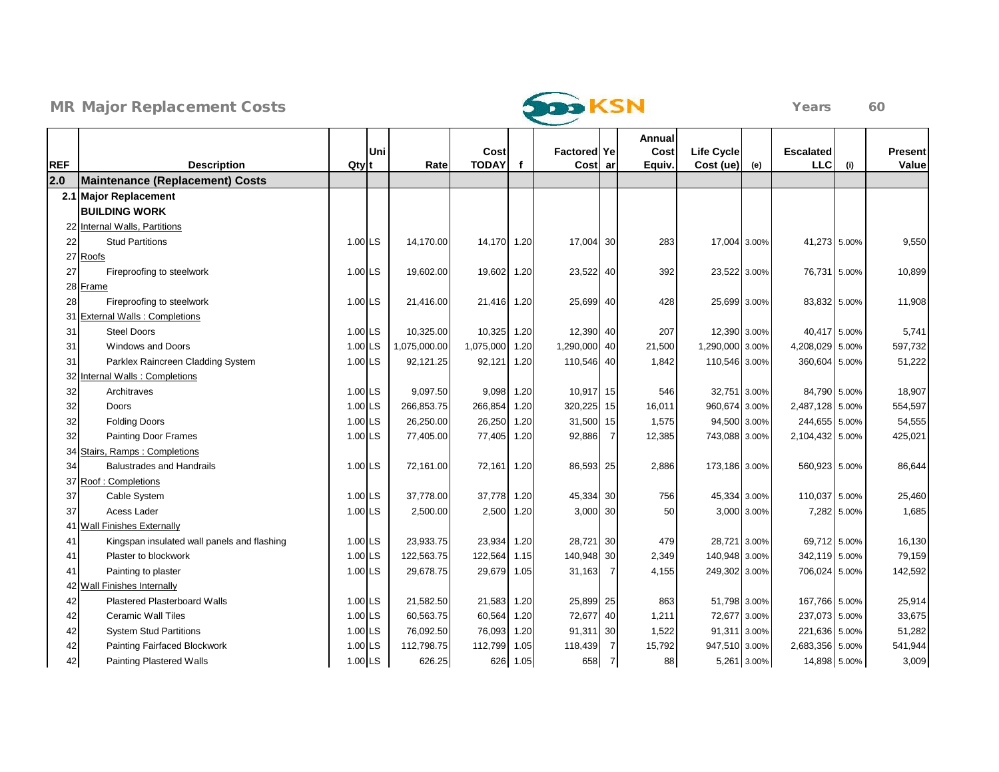



|            |                                             |                  |     |              |              |          |                     |                | Annual |                 |             |                  |             |                |
|------------|---------------------------------------------|------------------|-----|--------------|--------------|----------|---------------------|----------------|--------|-----------------|-------------|------------------|-------------|----------------|
|            |                                             |                  | Uni |              | Cost         |          | <b>Factored Yel</b> |                | Cost   | Life Cycle      |             | <b>Escalated</b> |             | <b>Present</b> |
| <b>REF</b> | <b>Description</b>                          | Qty <sup>t</sup> |     | Rate         | <b>TODAY</b> | f        | Cost ar             |                | Equiv. | Cost (ue)       | (e)         | <b>LLC</b>       | (i)         | Value          |
| 2.0        | <b>Maintenance (Replacement) Costs</b>      |                  |     |              |              |          |                     |                |        |                 |             |                  |             |                |
|            | 2.1 Major Replacement                       |                  |     |              |              |          |                     |                |        |                 |             |                  |             |                |
|            | <b>BUILDING WORK</b>                        |                  |     |              |              |          |                     |                |        |                 |             |                  |             |                |
|            | 22 Internal Walls, Partitions               |                  |     |              |              |          |                     |                |        |                 |             |                  |             |                |
| 22         | <b>Stud Partitions</b>                      | 1.00 LS          |     | 14.170.00    | 14,170 1.20  |          | 17,004 30           |                | 283    | 17,004 3.00%    |             | 41,273 5.00%     |             | 9,550          |
|            | 27 Roofs                                    |                  |     |              |              |          |                     |                |        |                 |             |                  |             |                |
| 27         | Fireproofing to steelwork                   | 1.00 LS          |     | 19,602.00    | 19,602 1.20  |          | 23,522 40           |                | 392    | 23,522 3.00%    |             | 76,731 5.00%     |             | 10,899         |
|            | 28 Frame                                    |                  |     |              |              |          |                     |                |        |                 |             |                  |             |                |
| 28         | Fireproofing to steelwork                   | 1.00 LS          |     | 21.416.00    | 21,416 1.20  |          | 25,699 40           |                | 428    | 25,699 3.00%    |             | 83,832 5.00%     |             | 11,908         |
|            | <b>External Walls: Completions</b>          |                  |     |              |              |          |                     |                |        |                 |             |                  |             |                |
| 31         | <b>Steel Doors</b>                          | 1.00 LS          |     | 10,325.00    | 10,325 1.20  |          | 12,390 40           |                | 207    | 12,390 3.00%    |             | 40,417 5.00%     |             | 5,741          |
| 31         | <b>Windows and Doors</b>                    | 1.00             | LS  | 1,075,000.00 | 1,075,000    | 1.20     | 1,290,000 40        |                | 21,500 | 1,290,000 3.00% |             | 4,208,029        | 5.00%       | 597,732        |
| 31         | Parklex Raincreen Cladding System           | 1.00 LS          |     | 92,121.25    | 92,121       | 1.20     | 110,546 40          |                | 1,842  | 110,546 3.00%   |             | 360,604 5.00%    |             | 51,222         |
|            | 32 Internal Walls: Completions              |                  |     |              |              |          |                     |                |        |                 |             |                  |             |                |
| 32         | Architraves                                 | 1.00 LS          |     | 9,097.50     | 9,098 1.20   |          | 10,917 15           |                | 546    | 32,751 3.00%    |             | 84,790 5.00%     |             | 18,907         |
| 32         | Doors                                       | 1.00 LS          |     | 266,853.75   | 266,854 1.20 |          | 320,225 15          |                | 16,011 | 960,674 3.00%   |             | 2,487,128 5.00%  |             | 554,597        |
| 32         | <b>Folding Doors</b>                        | $1.00$ LS        |     | 26,250.00    | 26,250       | 1.20     | 31,500              | 15             | 1,575  | 94,500 3.00%    |             | 244,655 5.00%    |             | 54,555         |
| 32         | <b>Painting Door Frames</b>                 | 1.00 LS          |     | 77,405.00    | 77,405 1.20  |          | 92,886              | $\overline{7}$ | 12,385 | 743,088 3.00%   |             | 2,104,432 5.00%  |             | 425,021        |
|            | 34 Stairs, Ramps: Completions               |                  |     |              |              |          |                     |                |        |                 |             |                  |             |                |
| 34         | <b>Balustrades and Handrails</b>            | 1.00 LS          |     | 72,161.00    | 72,161 1.20  |          | 86,593 25           |                | 2,886  | 173,186 3.00%   |             | 560,923 5.00%    |             | 86,644         |
|            | 37 Roof: Completions                        |                  |     |              |              |          |                     |                |        |                 |             |                  |             |                |
| 37         | Cable System                                | 1.00 LS          |     | 37.778.00    | 37,778 1.20  |          | 45,334 30           |                | 756    | 45,334 3.00%    |             | 110,037 5.00%    |             | 25,460         |
| 37         | Acess Lader                                 | 1.00 LS          |     | 2,500.00     | 2,500 1.20   |          | 3,000 30            |                | 50     |                 | 3,000 3.00% |                  | 7,282 5.00% | 1,685          |
| 41         | <b>Wall Finishes Externally</b>             |                  |     |              |              |          |                     |                |        |                 |             |                  |             |                |
| 41         | Kingspan insulated wall panels and flashing | 1.00 LS          |     | 23,933.75    | 23,934 1.20  |          | 28,721 30           |                | 479    | 28,721 3.00%    |             | 69,712 5.00%     |             | 16,130         |
| 41         | Plaster to blockwork                        | 1.00 LS          |     | 122,563.75   | 122,564      | 1.15     | 140,948 30          |                | 2,349  | 140,948 3.00%   |             | 342,119 5.00%    |             | 79,159         |
| 41         | Painting to plaster                         | 1.00 LS          |     | 29,678.75    | 29,679 1.05  |          | 31,163              | $\overline{7}$ | 4,155  | 249,302 3.00%   |             | 706,024 5.00%    |             | 142,592        |
|            | 42 Wall Finishes Internally                 |                  |     |              |              |          |                     |                |        |                 |             |                  |             |                |
| 42         | Plastered Plasterboard Walls                | 1.00 LS          |     | 21,582.50    | 21,583 1.20  |          | 25,899 25           |                | 863    | 51,798 3.00%    |             | 167,766 5.00%    |             | 25,914         |
| 42         | <b>Ceramic Wall Tiles</b>                   | 1.00 LS          |     | 60,563.75    | 60,564       | 1.20     | 72,677 40           |                | 1,211  | 72,677 3.00%    |             | 237,073 5.00%    |             | 33,675         |
| 42         | <b>System Stud Partitions</b>               | 1.00 LS          |     | 76,092.50    | 76,093       | 1.20     | 91,311 30           |                | 1,522  | 91,311 3.00%    |             | 221,636 5.00%    |             | 51,282         |
| 42         | Painting Fairfaced Blockwork                | 1.00 LS          |     | 112,798.75   | 112,799      | 1.05     | 118,439             | $\overline{7}$ | 15,792 | 947,510 3.00%   |             | 2,683,356 5.00%  |             | 541,944        |
| 42         | <b>Painting Plastered Walls</b>             | 1.00 LS          |     | 626.25       |              | 626 1.05 | 658                 | $\overline{7}$ | 88     |                 | 5,261 3.00% | 14,898 5.00%     |             | 3,009          |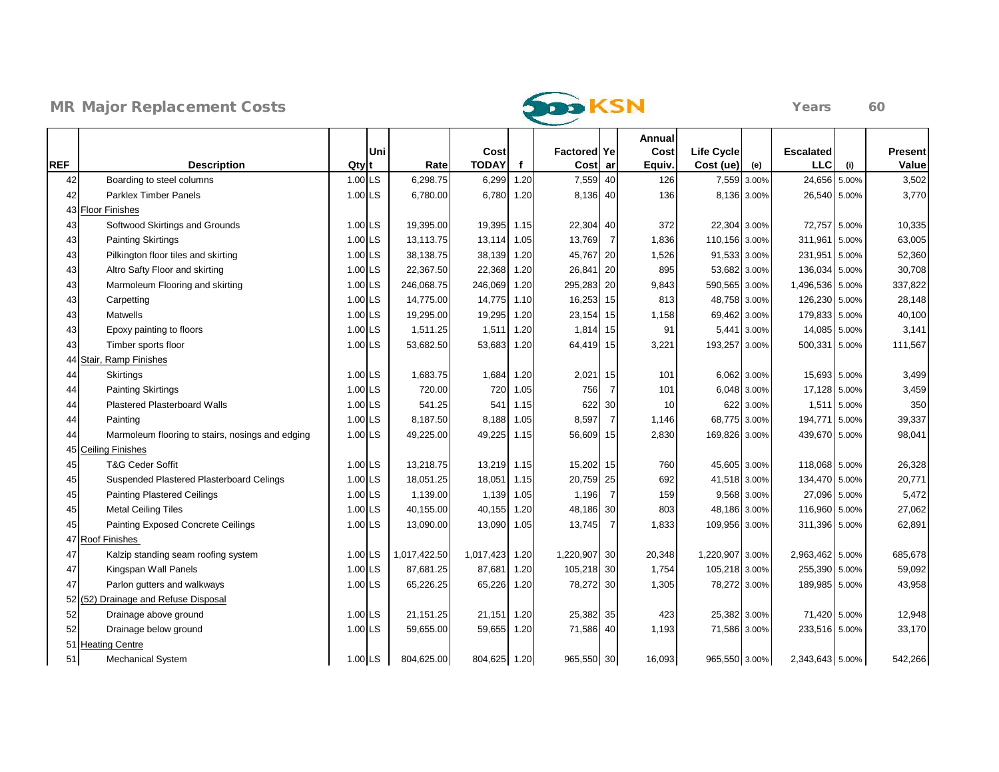



|            |                                                  |           |     |              |                |      |                     |                 | Annual |                   |             |                  |             |         |
|------------|--------------------------------------------------|-----------|-----|--------------|----------------|------|---------------------|-----------------|--------|-------------------|-------------|------------------|-------------|---------|
|            |                                                  |           | Uni |              | Cost           |      | <b>Factored Yel</b> |                 | Cost   | <b>Life Cycle</b> |             | <b>Escalated</b> |             | Present |
| <b>REF</b> | <b>Description</b>                               | Qty       |     | Rate         | <b>TODAY</b>   | f    | Cost ar             |                 | Equiv. | Cost (ue)         | (e)         | <b>LLC</b>       | (i)         | Value   |
| 42         | Boarding to steel columns                        | 1.00 LS   |     | 6,298.75     | 6,299          | 1.20 | 7,559               | 40 <sup>1</sup> | 126    | 7,559             | 3.00%       | 24,656           | 5.00%       | 3,502   |
| 42         | <b>Parklex Timber Panels</b>                     | 1.00 LS   |     | 6,780.00     | 6,780          | 1.20 | 8,136 40            |                 | 136    |                   | 8,136 3.00% | 26,540 5.00%     |             | 3,770   |
|            | 43 Floor Finishes                                |           |     |              |                |      |                     |                 |        |                   |             |                  |             |         |
| 43         | Softwood Skirtings and Grounds                   | 1.00 LS   |     | 19,395.00    | 19,395 1.15    |      | 22,304 40           |                 | 372    | 22,304 3.00%      |             | 72,757 5.00%     |             | 10,335  |
| 43         | <b>Painting Skirtings</b>                        | 1.00 LS   |     | 13,113.75    | 13,114 1.05    |      | 13,769              | 7               | 1,836  | 110,156 3.00%     |             | 311,961          | 5.00%       | 63,005  |
| 43         | Pilkington floor tiles and skirting              | 1.00 LS   |     | 38,138.75    | 38,139 1.20    |      | 45,767 20           |                 | 1,526  | 91,533 3.00%      |             | 231,951 5.00%    |             | 52,360  |
| 43         | Altro Safty Floor and skirting                   | 1.00 LS   |     | 22,367.50    | 22,368         | 1.20 | 26,841 20           |                 | 895    | 53,682 3.00%      |             | 136,034 5.00%    |             | 30,708  |
| 43         | Marmoleum Flooring and skirting                  | 1.00 LS   |     | 246,068.75   | 246,069        | 1.20 | 295,283 20          |                 | 9,843  | 590,565 3.00%     |             | 1,496,536 5.00%  |             | 337,822 |
| 43         | Carpetting                                       | 1.00 LS   |     | 14,775.00    | 14,775         | 1.10 | 16,253 15           |                 | 813    | 48,758 3.00%      |             | 126,230 5.00%    |             | 28,148  |
| 43         | <b>Matwells</b>                                  | 1.00 LS   |     | 19,295.00    | 19,295         | 1.20 | 23,154 15           |                 | 1,158  | 69,462 3.00%      |             | 179,833 5.00%    |             | 40,100  |
| 43         | Epoxy painting to floors                         | 1.00 LS   |     | 1,511.25     | 1,511          | 1.20 | 1,814 15            |                 | 91     |                   | 5,441 3.00% | 14,085 5.00%     |             | 3,141   |
| 43         | Timber sports floor                              | 1.00 LS   |     | 53,682.50    | 53,683         | 1.20 | 64,419 15           |                 | 3,221  | 193,257           | 3.00%       | 500,331 5.00%    |             | 111,567 |
|            | 44 Stair, Ramp Finishes                          |           |     |              |                |      |                     |                 |        |                   |             |                  |             |         |
| 44         | <b>Skirtings</b>                                 | 1.00 LS   |     | 1,683.75     | 1,684 1.20     |      | 2,021 15            |                 | 101    |                   | 6,062 3.00% | 15,693 5.00%     |             | 3,499   |
| 44         | <b>Painting Skirtings</b>                        | 1.00 LS   |     | 720.00       | 720            | 1.05 | 756                 |                 | 101    |                   | 6,048 3.00% | 17,128 5.00%     |             | 3,459   |
| 44         | Plastered Plasterboard Walls                     | 1.00 LS   |     | 541.25       | 541            | 1.15 | 622                 | 30              | 10     |                   | 622 3.00%   |                  | 1,511 5.00% | 350     |
| 44         | Painting                                         | 1.00 LS   |     | 8,187.50     | 8,188 1.05     |      | 8,597               | 7               | 1,146  | 68,775 3.00%      |             | 194,771          | 5.00%       | 39,337  |
| 44         | Marmoleum flooring to stairs, nosings and edging | 1.00 LS   |     | 49,225.00    | 49,225 1.15    |      | 56,609 15           |                 | 2,830  | 169,826 3.00%     |             | 439,670 5.00%    |             | 98,041  |
|            | 45 Ceiling Finishes                              |           |     |              |                |      |                     |                 |        |                   |             |                  |             |         |
| 45         | <b>T&amp;G Ceder Soffit</b>                      | 1.00 LS   |     | 13,218.75    | 13,219 1.15    |      | 15,202 15           |                 | 760    | 45,605 3.00%      |             | 118,068 5.00%    |             | 26,328  |
| 45         | Suspended Plastered Plasterboard Celings         | 1.00 LS   |     | 18,051.25    | 18,051         | 1.15 | 20,759 25           |                 | 692    | 41,518 3.00%      |             | 134,470 5.00%    |             | 20,771  |
| 45         | <b>Painting Plastered Ceilings</b>               | $1.00$ LS |     | 1,139.00     | 1,139 1.05     |      | 1,196               | 7               | 159    |                   | 9,568 3.00% | 27,096 5.00%     |             | 5,472   |
| 45         | <b>Metal Ceiling Tiles</b>                       | 1.00 LS   |     | 40,155.00    | 40,155         | 1.20 | 48,186              | 30              | 803    | 48,186 3.00%      |             | 116,960 5.00%    |             | 27,062  |
| 45         | Painting Exposed Concrete Ceilings               | 1.00 LS   |     | 13,090.00    | 13,090 1.05    |      | 13,745              | $\overline{7}$  | 1,833  | 109,956 3.00%     |             | 311,396 5.00%    |             | 62,891  |
| 47         | <b>Roof Finishes</b>                             |           |     |              |                |      |                     |                 |        |                   |             |                  |             |         |
| 47         | Kalzip standing seam roofing system              | 1.00 LS   |     | 1,017,422.50 | 1,017,423 1.20 |      | 1,220,907 30        |                 | 20,348 | 1,220,907 3.00%   |             | 2,963,462 5.00%  |             | 685,678 |
| 47         | Kingspan Wall Panels                             | 1.00 LS   |     | 87,681.25    | 87,681         | 1.20 | 105,218 30          |                 | 1,754  | 105,218 3.00%     |             | 255,390 5.00%    |             | 59,092  |
| 47         | Parlon gutters and walkways                      | 1.00 LS   |     | 65,226.25    | 65,226         | 1.20 | 78,272 30           |                 | 1,305  | 78,272 3.00%      |             | 189,985 5.00%    |             | 43,958  |
|            | 52 (52) Drainage and Refuse Disposal             |           |     |              |                |      |                     |                 |        |                   |             |                  |             |         |
| 52         | Drainage above ground                            | 1.00 LS   |     | 21,151.25    | 21,151         | 1.20 | 25,382 35           |                 | 423    | 25,382 3.00%      |             | 71,420 5.00%     |             | 12,948  |
| 52         | Drainage below ground                            | 1.00 LS   |     | 59,655.00    | 59,655 1.20    |      | 71,586 40           |                 | 1,193  | 71,586 3.00%      |             | 233,516 5.00%    |             | 33,170  |
|            | 51 Heating Centre                                |           |     |              |                |      |                     |                 |        |                   |             |                  |             |         |
| 51         | <b>Mechanical System</b>                         | 1.00 LS   |     | 804,625.00   | 804,625 1.20   |      | 965,550 30          |                 | 16,093 | 965,550 3.00%     |             | 2,343,643 5.00%  |             | 542,266 |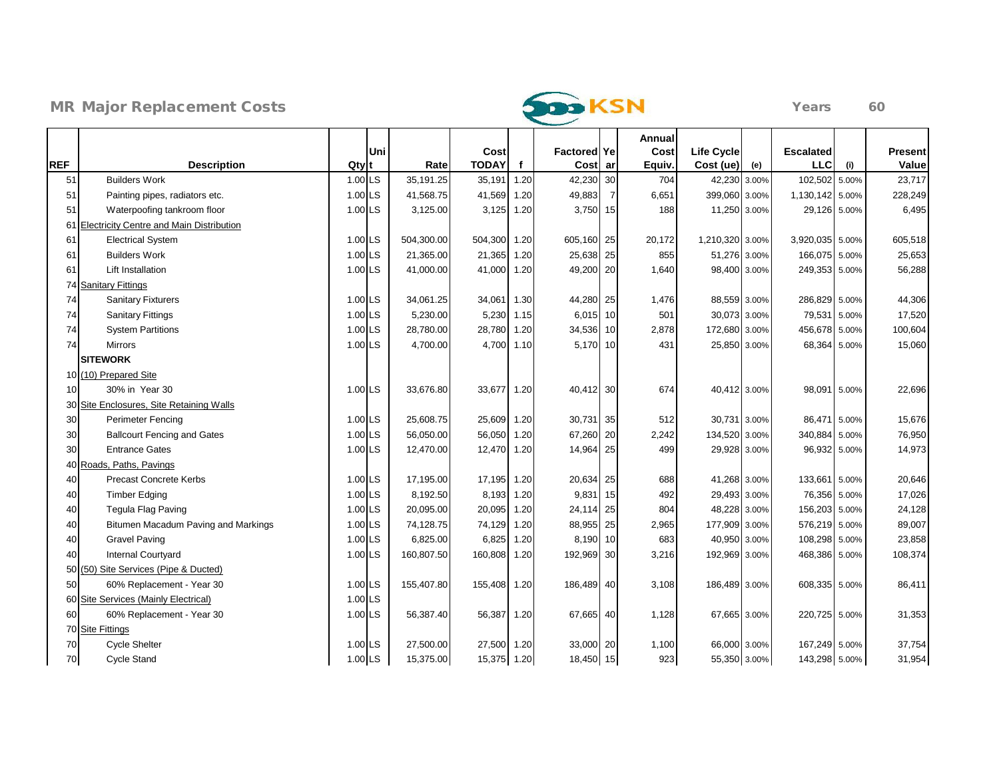



|            |                                            |                               |            |                      |              |                               |                | Annual        |                     |              |                                |       |                  |
|------------|--------------------------------------------|-------------------------------|------------|----------------------|--------------|-------------------------------|----------------|---------------|---------------------|--------------|--------------------------------|-------|------------------|
| <b>REF</b> |                                            | Uni                           | Rate       | Cost<br><b>TODAY</b> | $\mathbf{f}$ | <b>Factored Ye</b><br>Cost ar |                | Cost          | <b>Life Cycle</b>   |              | <b>Escalated</b><br><b>LLC</b> |       | Present<br>Value |
| 51         | <b>Description</b><br><b>Builders Work</b> | Qty <sup>t</sup><br>$1.00$ LS | 35,191.25  | 35,191               | 1.20         | 42,230                        | 30             | Equiv.<br>704 | Cost (ue)<br>42,230 | (e)<br>3.00% | 102,502 5.00%                  | (i)   | 23,717           |
| 51         | Painting pipes, radiators etc.             | 1.00 LS                       | 41,568.75  | 41,569               | 1.20         | 49,883                        | $\overline{7}$ | 6,651         | 399,060 3.00%       |              | 1,130,142 5.00%                |       | 228,249          |
| 51         | Waterpoofing tankroom floor                | 1.00 LS                       | 3,125.00   | 3,125                | 1.20         | 3,750                         | 15             | 188           | 11,250 3.00%        |              | 29,126 5.00%                   |       | 6,495            |
| 61         | Electricity Centre and Main Distribution   |                               |            |                      |              |                               |                |               |                     |              |                                |       |                  |
| 61         | <b>Electrical System</b>                   | 1.00 LS                       | 504,300.00 | 504,300 1.20         |              | 605,160 25                    |                | 20,172        | 1,210,320 3.00%     |              | 3,920,035 5.00%                |       | 605,518          |
| 61         | <b>Builders Work</b>                       | 1.00 LS                       | 21,365.00  | 21,365               | 1.20         | 25,638 25                     |                | 855           | 51,276 3.00%        |              | 166,075 5.00%                  |       | 25,653           |
| 61         | Lift Installation                          | 1.00 LS                       | 41,000.00  | 41,000 1.20          |              | 49,200 20                     |                | 1,640         |                     | 98,400 3.00% | 249,353 5.00%                  |       | 56,288           |
|            | 74 Sanitary Fittings                       |                               |            |                      |              |                               |                |               |                     |              |                                |       |                  |
| 74         | <b>Sanitary Fixturers</b>                  | 1.00 LS                       | 34,061.25  | 34,061 1.30          |              | 44,280 25                     |                | 1,476         | 88,559 3.00%        |              | 286,829 5.00%                  |       | 44,306           |
| 74         | <b>Sanitary Fittings</b>                   | 1.00 LS                       | 5,230.00   | 5,230                | 1.15         | $6,015$ 10                    |                | 501           | 30,073 3.00%        |              | 79,531                         | 5.00% | 17,520           |
| 74         | <b>System Partitions</b>                   | 1.00 LS                       | 28,780.00  | 28,780               | 1.20         | 34,536 10                     |                | 2,878         | 172,680 3.00%       |              | 456,678 5.00%                  |       | 100,604          |
| 74         | <b>Mirrors</b>                             | 1.00 LS                       | 4,700.00   | 4,700                | 1.10         | 5,170 10                      |                | 431           | 25,850 3.00%        |              | 68,364 5.00%                   |       | 15,060           |
|            | <b>SITEWORK</b>                            |                               |            |                      |              |                               |                |               |                     |              |                                |       |                  |
|            | 10 (10) Prepared Site                      |                               |            |                      |              |                               |                |               |                     |              |                                |       |                  |
| 10         | 30% in Year 30                             | 1.00 LS                       | 33,676.80  | 33,677               | 1.20         | 40,412 30                     |                | 674           |                     | 40,412 3.00% | 98,091 5.00%                   |       | 22,696           |
|            | 30 Site Enclosures, Site Retaining Walls   |                               |            |                      |              |                               |                |               |                     |              |                                |       |                  |
| 30         | <b>Perimeter Fencing</b>                   | 1.00 LS                       | 25,608.75  | 25,609               | 1.20         | 30,731 35                     |                | 512           |                     | 30,731 3.00% | 86,471 5.00%                   |       | 15,676           |
| 30         | <b>Ballcourt Fencing and Gates</b>         | 1.00 LS                       | 56,050.00  | 56,050               | 1.20         | 67,260 20                     |                | 2,242         | 134,520 3.00%       |              | 340,884 5.00%                  |       | 76,950           |
| 30         | <b>Entrance Gates</b>                      | 1.00 LS                       | 12,470.00  | 12,470 1.20          |              | 14,964 25                     |                | 499           |                     | 29,928 3.00% | 96,932 5.00%                   |       | 14,973           |
|            | 40 Roads, Paths, Pavings                   |                               |            |                      |              |                               |                |               |                     |              |                                |       |                  |
| 40         | <b>Precast Concrete Kerbs</b>              | 1.00 LS                       | 17,195.00  | 17,195 1.20          |              | 20,634 25                     |                | 688           | 41,268 3.00%        |              | 133,661 5.00%                  |       | 20,646           |
| 40         | <b>Timber Edging</b>                       | 1.00 LS                       | 8,192.50   |                      | 8,193 1.20   | 9,831 15                      |                | 492           | 29,493 3.00%        |              | 76,356 5.00%                   |       | 17,026           |
| 40         | Tegula Flag Paving                         | 1.00 LS                       | 20,095.00  | 20,095               | 1.20         | 24,114 25                     |                | 804           | 48,228 3.00%        |              | 156,203 5.00%                  |       | 24,128           |
| 40         | Bitumen Macadum Paving and Markings        | 1.00 LS                       | 74,128.75  | 74,129               | 1.20         | 88,955 25                     |                | 2,965         | 177,909 3.00%       |              | 576,219 5.00%                  |       | 89,007           |
| 40         | <b>Gravel Paving</b>                       | $1.00$ LS                     | 6,825.00   | 6,825                | 1.20         | 8,190 10                      |                | 683           | 40,950 3.00%        |              | 108,298 5.00%                  |       | 23,858           |
| 40         | <b>Internal Courtyard</b>                  | 1.00 LS                       | 160,807.50 | 160,808              | 1.20         | 192,969 30                    |                | 3,216         | 192,969 3.00%       |              | 468,386 5.00%                  |       | 108,374          |
|            | 50 (50) Site Services (Pipe & Ducted)      |                               |            |                      |              |                               |                |               |                     |              |                                |       |                  |
| 50         | 60% Replacement - Year 30                  | 1.00 LS                       | 155,407.80 | 155,408 1.20         |              | 186,489 40                    |                | 3,108         | 186,489 3.00%       |              | 608,335 5.00%                  |       | 86,411           |
|            | 60 Site Services (Mainly Electrical)       | 1.00 LS                       |            |                      |              |                               |                |               |                     |              |                                |       |                  |
| 60         | 60% Replacement - Year 30                  | 1.00 LS                       | 56,387.40  | 56,387               | 1.20         | 67,665 40                     |                | 1,128         |                     | 67,665 3.00% | 220,725 5.00%                  |       | 31,353           |
|            | 70 Site Fittings                           |                               |            |                      |              |                               |                |               |                     |              |                                |       |                  |
| 70         | <b>Cycle Shelter</b>                       | 1.00 LS                       | 27,500.00  | 27,500 1.20          |              | 33,000 20                     |                | 1,100         | 66,000 3.00%        |              | 167,249 5.00%                  |       | 37,754           |
| 70         | <b>Cycle Stand</b>                         | 1.00 LS                       | 15,375.00  | 15,375 1.20          |              | 18,450 15                     |                | 923           |                     | 55,350 3.00% | 143,298 5.00%                  |       | 31,954           |